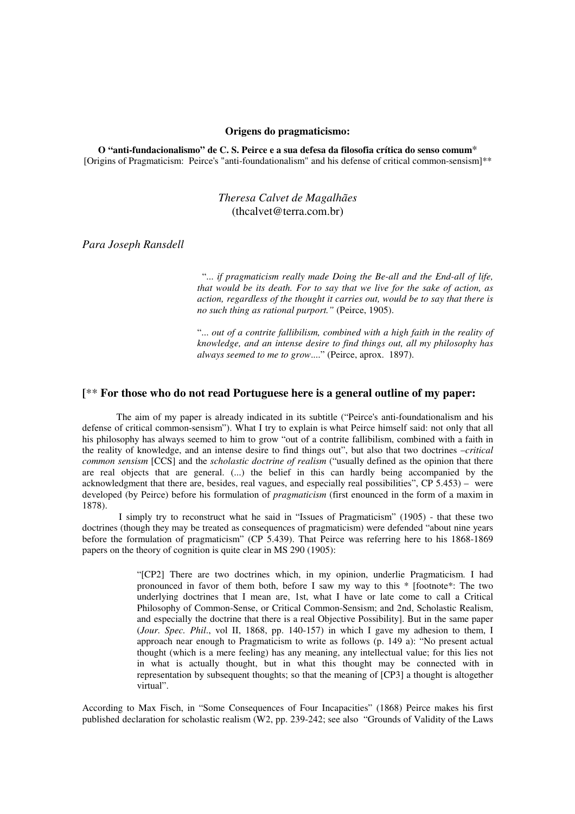#### **Origens do pragmaticismo:**

**O "anti-fundacionalismo" de C. S. Peirce e a sua defesa da filosofia crítica do senso comum**\* [Origins of Pragmaticism: Peirce's "anti-foundationalism" and his defense of critical common-sensism]\*\*

# *Theresa Calvet de Magalhães* (thcalvet@terra.com.br)

*Para Joseph Ransdell*

 "... *if pragmaticism really made Doing the Be-all and the End-all of life, that would be its death. For to say that we live for the sake of action, as action, regardless of the thought it carries out, would be to say that there is no such thing as rational purport."* (Peirce, 1905).

"... *out of a contrite fallibilism, combined with a high faith in the reality of knowledge, and an intense desire to find things out, all my philosophy has always seemed to me to grow*...." (Peirce, aprox. 1897).

# **[**\*\* **For those who do not read Portuguese here is a general outline of my paper:**

The aim of my paper is already indicated in its subtitle ("Peirce's anti-foundationalism and his defense of critical common-sensism"). What I try to explain is what Peirce himself said: not only that all his philosophy has always seemed to him to grow "out of a contrite fallibilism, combined with a faith in the reality of knowledge, and an intense desire to find things out", but also that two doctrines –*critical common sensism* [CCS] and the *scholastic doctrine of realism* ("usually defined as the opinion that there are real objects that are general. (...) the belief in this can hardly being accompanied by the acknowledgment that there are, besides, real vagues, and especially real possibilities", CP 5.453) – were developed (by Peirce) before his formulation of *pragmaticism* (first enounced in the form of a maxim in 1878).

I simply try to reconstruct what he said in "Issues of Pragmaticism" (1905) - that these two doctrines (though they may be treated as consequences of pragmaticism) were defended "about nine years before the formulation of pragmaticism" (CP 5.439). That Peirce was referring here to his 1868-1869 papers on the theory of cognition is quite clear in MS 290 (1905):

> "[CP2] There are two doctrines which, in my opinion, underlie Pragmaticism. I had pronounced in favor of them both, before I saw my way to this \* [footnote\*: The two underlying doctrines that I mean are, 1st, what I have or late come to call a Critical Philosophy of Common-Sense, or Critical Common-Sensism; and 2nd, Scholastic Realism, and especially the doctrine that there is a real Objective Possibility]. But in the same paper (*Jour. Spec. Phil*., vol II, 1868, pp. 140-157) in which I gave my adhesion to them, I approach near enough to Pragmaticism to write as follows (p. 149 a): "No present actual thought (which is a mere feeling) has any meaning, any intellectual value; for this lies not in what is actually thought, but in what this thought may be connected with in representation by subsequent thoughts; so that the meaning of [CP3] a thought is altogether virtual".

According to Max Fisch, in "Some Consequences of Four Incapacities" (1868) Peirce makes his first published declaration for scholastic realism (W2, pp. 239-242; see also "Grounds of Validity of the Laws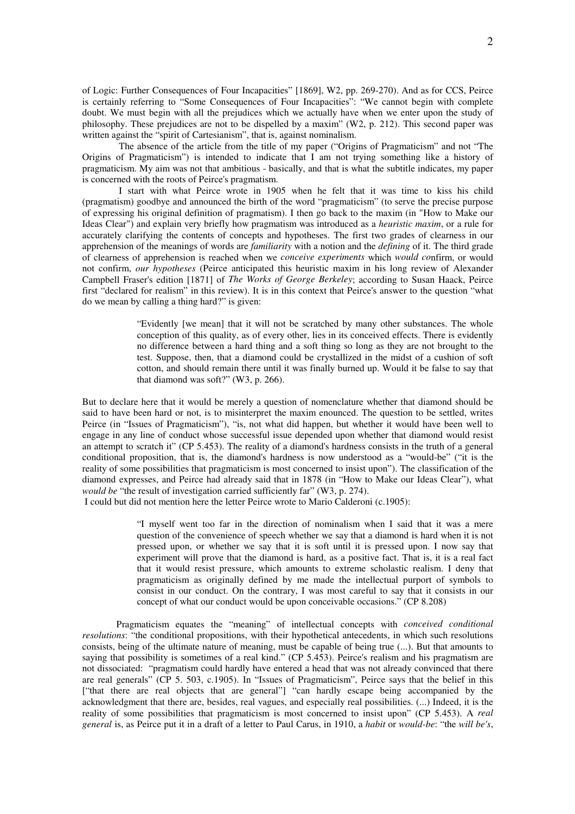of Logic: Further Consequences of Four Incapacities" [1869], W2, pp. 269-270). And as for CCS, Peirce is certainly referring to "Some Consequences of Four Incapacities": "We cannot begin with complete doubt. We must begin with all the prejudices which we actually have when we enter upon the study of philosophy. These prejudices are not to be dispelled by a maxim" (W2, p. 212). This second paper was written against the "spirit of Cartesianism", that is, against nominalism.

The absence of the article from the title of my paper ("Origins of Pragmaticism" and not "The Origins of Pragmaticism") is intended to indicate that I am not trying something like a history of pragmaticism. My aim was not that ambitious - basically, and that is what the subtitle indicates, my paper is concerned with the roots of Peirce's pragmatism.

I start with what Peirce wrote in 1905 when he felt that it was time to kiss his child (pragmatism) goodbye and announced the birth of the word "pragmaticism" (to serve the precise purpose of expressing his original definition of pragmatism). I then go back to the maxim (in "How to Make our Ideas Clear") and explain very briefly how pragmatism was introduced as a *heuristic maxim*, or a rule for accurately clarifying the contents of concepts and hypotheses. The first two grades of clearness in our apprehension of the meanings of words are *familiarity* with a notion and the *defining* of it. The third grade of clearness of apprehension is reached when we *conceive experiments* which *would co*nfirm, or would not confirm, *our hypotheses* (Peirce anticipated this heuristic maxim in his long review of Alexander Campbell Fraser's edition [1871] of *The Works of George Berkeley*; according to Susan Haack, Peirce first "declared for realism" in this review). It is in this context that Peirce's answer to the question "what do we mean by calling a thing hard?" is given:

> "Evidently [we mean] that it will not be scratched by many other substances. The whole conception of this quality, as of every other, lies in its conceived effects. There is evidently no difference between a hard thing and a soft thing so long as they are not brought to the test. Suppose, then, that a diamond could be crystallized in the midst of a cushion of soft cotton, and should remain there until it was finally burned up. Would it be false to say that that diamond was soft?" (W3, p. 266).

But to declare here that it would be merely a question of nomenclature whether that diamond should be said to have been hard or not, is to misinterpret the maxim enounced. The question to be settled, writes Peirce (in "Issues of Pragmaticism"), "is, not what did happen, but whether it would have been well to engage in any line of conduct whose successful issue depended upon whether that diamond would resist an attempt to scratch it" (CP 5.453). The reality of a diamond's hardness consists in the truth of a general conditional proposition, that is, the diamond's hardness is now understood as a "would-be" ("it is the reality of some possibilities that pragmaticism is most concerned to insist upon"). The classification of the diamond expresses, and Peirce had already said that in 1878 (in "How to Make our Ideas Clear"), what *would be* "the result of investigation carried sufficiently far" (W3, p. 274).

I could but did not mention here the letter Peirce wrote to Mario Calderoni (c.1905):

"I myself went too far in the direction of nominalism when I said that it was a mere question of the convenience of speech whether we say that a diamond is hard when it is not pressed upon, or whether we say that it is soft until it is pressed upon. I now say that experiment will prove that the diamond is hard, as a positive fact. That is, it is a real fact that it would resist pressure, which amounts to extreme scholastic realism. I deny that pragmaticism as originally defined by me made the intellectual purport of symbols to consist in our conduct. On the contrary, I was most careful to say that it consists in our concept of what our conduct would be upon conceivable occasions." (CP 8.208)

Pragmaticism equates the "meaning" of intellectual concepts with *conceived conditional resolutions*: "the conditional propositions, with their hypothetical antecedents, in which such resolutions consists, being of the ultimate nature of meaning, must be capable of being true (...). But that amounts to saying that possibility is sometimes of a real kind." (CP 5.453). Peirce's realism and his pragmatism are not dissociated: "pragmatism could hardly have entered a head that was not already convinced that there are real generals" (CP 5. 503, c.1905). In "Issues of Pragmaticism", Peirce says that the belief in this ["that there are real objects that are general"] "can hardly escape being accompanied by the acknowledgment that there are, besides, real vagues, and especially real possibilities. (...) Indeed, it is the reality of some possibilities that pragmaticism is most concerned to insist upon" (CP 5.453). A *real general* is, as Peirce put it in a draft of a letter to Paul Carus, in 1910, a *habit* or *would-be*: "the *will be's*,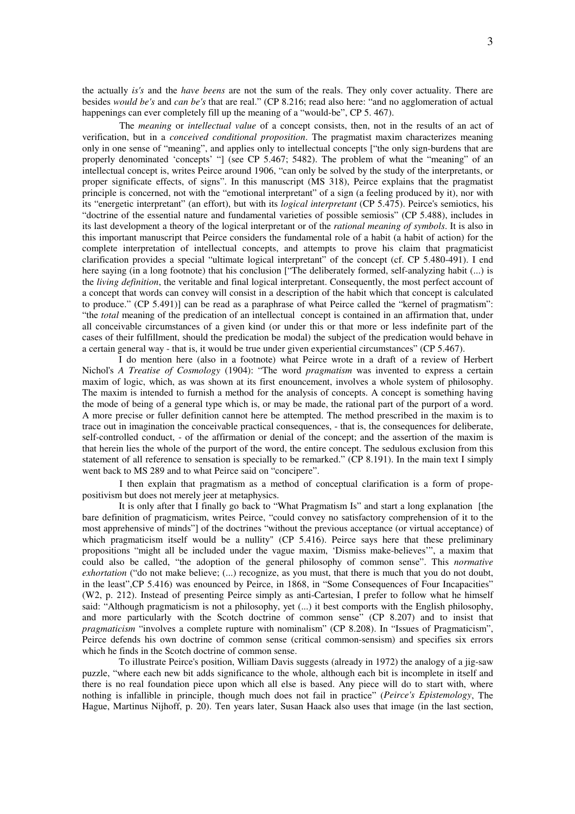the actually *is's* and the *have beens* are not the sum of the reals. They only cover actuality. There are besides *would be's* and *can be's* that are real." (CP 8.216; read also here: "and no agglomeration of actual happenings can ever completely fill up the meaning of a "would-be", CP 5.467).

The *meaning* or *intellectual value* of a concept consists, then, not in the results of an act of verification, but in a *conceived conditional proposition*. The pragmatist maxim characterizes meaning only in one sense of "meaning", and applies only to intellectual concepts ["the only sign-burdens that are properly denominated 'concepts' "] (see CP 5.467; 5482). The problem of what the "meaning" of an intellectual concept is, writes Peirce around 1906, "can only be solved by the study of the interpretants, or proper significate effects, of signs". In this manuscript (MS 318), Peirce explains that the pragmatist principle is concerned, not with the "emotional interpretant" of a sign (a feeling produced by it), nor with its "energetic interpretant" (an effort), but with its *logical interpretant* (CP 5.475). Peirce's semiotics, his "doctrine of the essential nature and fundamental varieties of possible semiosis" (CP 5.488), includes in its last development a theory of the logical interpretant or of the *rational meaning of symbols*. It is also in this important manuscript that Peirce considers the fundamental role of a habit (a habit of action) for the complete interpretation of intellectual concepts, and attempts to prove his claim that pragmaticist clarification provides a special "ultimate logical interpretant" of the concept (cf. CP 5.480-491). I end here saying (in a long footnote) that his conclusion ["The deliberately formed, self-analyzing habit (...) is the *living definition*, the veritable and final logical interpretant. Consequently, the most perfect account of a concept that words can convey will consist in a description of the habit which that concept is calculated to produce." (CP 5.491)] can be read as a paraphrase of what Peirce called the "kernel of pragmatism": "the *total* meaning of the predication of an intellectual concept is contained in an affirmation that, under all conceivable circumstances of a given kind (or under this or that more or less indefinite part of the cases of their fulfillment, should the predication be modal) the subject of the predication would behave in a certain general way - that is, it would be true under given experiential circumstances" (CP 5.467).

I do mention here (also in a footnote) what Peirce wrote in a draft of a review of Herbert Nichol's *A Treatise of Cosmology* (1904): "The word *pragmatism* was invented to express a certain maxim of logic, which, as was shown at its first enouncement, involves a whole system of philosophy. The maxim is intended to furnish a method for the analysis of concepts. A concept is something having the mode of being of a general type which is, or may be made, the rational part of the purport of a word. A more precise or fuller definition cannot here be attempted. The method prescribed in the maxim is to trace out in imagination the conceivable practical consequences, - that is, the consequences for deliberate, self-controlled conduct, - of the affirmation or denial of the concept; and the assertion of the maxim is that herein lies the whole of the purport of the word, the entire concept. The sedulous exclusion from this statement of all reference to sensation is specially to be remarked." (CP 8.191). In the main text I simply went back to MS 289 and to what Peirce said on "concipere".

I then explain that pragmatism as a method of conceptual clarification is a form of propepositivism but does not merely jeer at metaphysics.

It is only after that I finally go back to "What Pragmatism Is" and start a long explanation [the bare definition of pragmaticism, writes Peirce, "could convey no satisfactory comprehension of it to the most apprehensive of minds"] of the doctrines "without the previous acceptance (or virtual acceptance) of which pragmaticism itself would be a nullity" (CP 5.416). Peirce says here that these preliminary propositions "might all be included under the vague maxim, 'Dismiss make-believes'", a maxim that could also be called, "the adoption of the general philosophy of common sense". This *normative exhortation* ("do not make believe; (...) recognize, as you must, that there is much that you do not doubt, in the least",CP 5.416) was enounced by Peirce, in 1868, in "Some Consequences of Four Incapacities" (W2, p. 212). Instead of presenting Peirce simply as anti-Cartesian, I prefer to follow what he himself said: "Although pragmaticism is not a philosophy, yet (...) it best comports with the English philosophy, and more particularly with the Scotch doctrine of common sense" (CP 8.207) and to insist that *pragmaticism* "involves a complete rupture with nominalism" (CP 8.208). In "Issues of Pragmaticism", Peirce defends his own doctrine of common sense (critical common-sensism) and specifies six errors which he finds in the Scotch doctrine of common sense.

To illustrate Peirce's position, William Davis suggests (already in 1972) the analogy of a jig-saw puzzle, "where each new bit adds significance to the whole, although each bit is incomplete in itself and there is no real foundation piece upon which all else is based. Any piece will do to start with, where nothing is infallible in principle, though much does not fail in practice" (*Peirce's Epistemology*, The Hague, Martinus Nijhoff, p. 20). Ten years later, Susan Haack also uses that image (in the last section,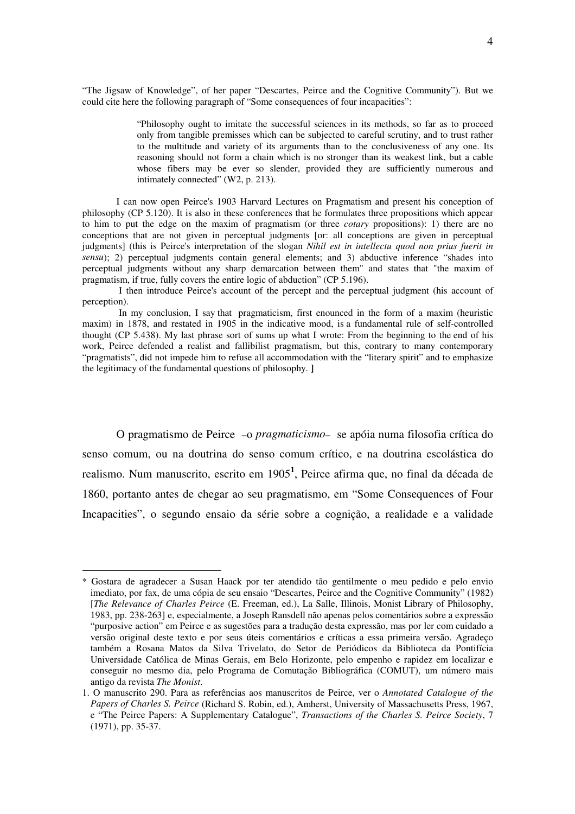"The Jigsaw of Knowledge", of her paper "Descartes, Peirce and the Cognitive Community"). But we could cite here the following paragraph of "Some consequences of four incapacities":

> "Philosophy ought to imitate the successful sciences in its methods, so far as to proceed only from tangible premisses which can be subjected to careful scrutiny, and to trust rather to the multitude and variety of its arguments than to the conclusiveness of any one. Its reasoning should not form a chain which is no stronger than its weakest link, but a cable whose fibers may be ever so slender, provided they are sufficiently numerous and intimately connected" (W2, p. 213).

I can now open Peirce's 1903 Harvard Lectures on Pragmatism and present his conception of philosophy (CP 5.120). It is also in these conferences that he formulates three propositions which appear to him to put the edge on the maxim of pragmatism (or three *cotary* propositions): 1) there are no conceptions that are not given in perceptual judgments [or: all conceptions are given in perceptual judgments] (this is Peirce's interpretation of the slogan *Nihil est in intellectu quod non prius fuerit in sensu*); 2) perceptual judgments contain general elements; and 3) abductive inference "shades into perceptual judgments without any sharp demarcation between them" and states that "the maxim of pragmatism, if true, fully covers the entire logic of abduction" (CP 5.196).

I then introduce Peirce's account of the percept and the perceptual judgment (his account of perception).

In my conclusion, I say that pragmaticism, first enounced in the form of a maxim (heuristic maxim) in 1878, and restated in 1905 in the indicative mood, is a fundamental rule of self-controlled thought (CP 5.438). My last phrase sort of sums up what I wrote: From the beginning to the end of his work, Peirce defended a realist and fallibilist pragmatism, but this, contrary to many contemporary "pragmatists", did not impede him to refuse all accommodation with the "literary spirit" and to emphasize the legitimacy of the fundamental questions of philosophy. **]**

O pragmatismo de Peirce –o *pragmaticismo*– se apóia numa filosofia crítica do senso comum, ou na doutrina do senso comum crítico, e na doutrina escolástica do realismo. Num manuscrito, escrito em 1905**<sup>1</sup>** , Peirce afirma que, no final da década de 1860, portanto antes de chegar ao seu pragmatismo, em "Some Consequences of Four Incapacities", o segundo ensaio da série sobre a cognição, a realidade e a validade

<sup>\*</sup> Gostara de agradecer a Susan Haack por ter atendido tão gentilmente o meu pedido e pelo envio imediato, por fax, de uma cópia de seu ensaio "Descartes, Peirce and the Cognitive Community" (1982) [*The Relevance of Charles Peirce* (E. Freeman, ed.), La Salle, Illinois, Monist Library of Philosophy, 1983, pp. 238-263] e, especialmente, a Joseph Ransdell não apenas pelos comentários sobre a expressão "purposive action" em Peirce e as sugestões para a tradução desta expressão, mas por ler com cuidado a versão original deste texto e por seus úteis comentários e críticas a essa primeira versão. Agradeço também a Rosana Matos da Silva Trivelato, do Setor de Periódicos da Biblioteca da Pontifícia Universidade Católica de Minas Gerais, em Belo Horizonte, pelo empenho e rapidez em localizar e conseguir no mesmo dia, pelo Programa de Comutação Bibliográfica (COMUT), um número mais antigo da revista *The Monist*.

<sup>1.</sup> O manuscrito 290. Para as referências aos manuscritos de Peirce, ver o *Annotated Catalogue of the Papers of Charles S. Peirce* (Richard S. Robin, ed.), Amherst, University of Massachusetts Press, 1967, e "The Peirce Papers: A Supplementary Catalogue", *Transactions of the Charles S. Peirce Society*, 7  $(1971)$ , pp. 35-37.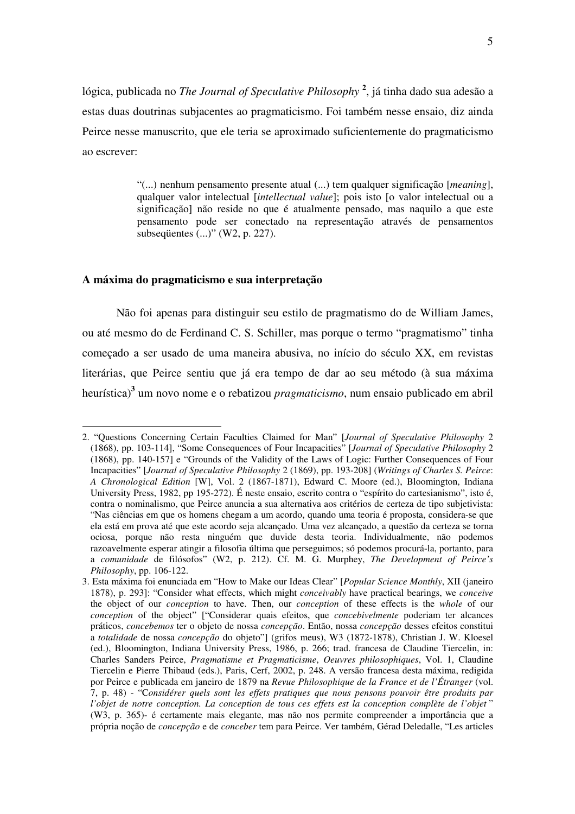lógica, publicada no *The Journal of Speculative Philosophy* **2** , já tinha dado sua adesão a estas duas doutrinas subjacentes ao pragmaticismo. Foi também nesse ensaio, diz ainda Peirce nesse manuscrito, que ele teria se aproximado suficientemente do pragmaticismo ao escrever:

> "(...) nenhum pensamento presente atual (...) tem qualquer significação [*meaning*], qualquer valor intelectual [*intellectual value*]; pois isto [o valor intelectual ou a significação] não reside no que é atualmente pensado, mas naquilo a que este pensamento pode ser conectado na representação através de pensamentos subseqüentes (...)" (W2, p. 227).

# **A máxima do pragmaticismo e sua interpretação**

 $\overline{a}$ 

Não foi apenas para distinguir seu estilo de pragmatismo do de William James, ou até mesmo do de Ferdinand C. S. Schiller, mas porque o termo "pragmatismo" tinha começado a ser usado de uma maneira abusiva, no início do século XX, em revistas literárias, que Peirce sentiu que já era tempo de dar ao seu método (à sua máxima heurística) **3** um novo nome e o rebatizou *pragmaticismo*, num ensaio publicado em abril

<sup>2. &</sup>quot;Questions Concerning Certain Faculties Claimed for Man" [*Journal of Speculative Philosophy* 2 (1868), pp. 103-114], "Some Consequences of Four Incapacities" [*Journal of Speculative Philosophy* 2 (1868), pp. 140-157] e "Grounds of the Validity of the Laws of Logic: Further Consequences of Four Incapacities" [*Journal of Speculative Philosophy* 2 (1869), pp. 193-208] (*Writings of Charles S. Peirce*: *A Chronological Edition* [W], Vol. 2 (1867-1871), Edward C. Moore (ed.), Bloomington, Indiana University Press, 1982, pp 195-272). É neste ensaio, escrito contra o "espírito do cartesianismo", isto é, contra o nominalismo, que Peirce anuncia a sua alternativa aos critérios de certeza de tipo subjetivista: "Nas ciências em que os homens chegam a um acordo, quando uma teoria é proposta, considera-se que ela está em prova até que este acordo seja alcançado. Uma vez alcançado, a questão da certeza se torna ociosa, porque não resta ninguém que duvide desta teoria. Individualmente, não podemos razoavelmente esperar atingir a filosofia última que perseguimos; só podemos procurá-la, portanto, para a *comunidade* de filósofos" (W2, p. 212). Cf. M. G. Murphey, *The Development of Peirce's Philosophy*, pp. 106-122.

<sup>3.</sup> Esta máxima foi enunciada em "How to Make our Ideas Clear" [*Popular Science Monthly*, XII (janeiro 1878), p. 293]: "Consider what effects, which might *conceivably* have practical bearings, we *conceive* the object of our *conception* to have. Then, our *conception* of these effects is the *whole* of our *conception* of the object" ["Considerar quais efeitos, que *concebivelmente* poderiam ter alcances práticos, *concebemos* ter o objeto de nossa *concepção*. Então, nossa *concepção* desses efeitos constitui a *totalidade* de nossa *concepção* do objeto"] (grifos meus), W3 (1872-1878), Christian J. W. Kloesel (ed.), Bloomington, Indiana University Press, 1986, p. 266; trad. francesa de Claudine Tiercelin, in: Charles Sanders Peirce, *Pragmatisme et Pragmaticisme*, *Oeuvres philosophiques*, Vol. 1, Claudine Tiercelin e Pierre Thibaud (eds.), Paris, Cerf, 2002, p. 248. A versão francesa desta máxima, redigida por Peirce e publicada em janeiro de 1879 na *Revue Philosophique de la France et de l'Étranger* (vol. 7, p. 48) - "C*onsidérer quels sont les effets pratiques que nous pensons pouvoir être produits par l'objet de notre conception. La conception de tous ces effets est la conception complète de l'objet* " (W3, p. 365)- é certamente mais elegante, mas não nos permite compreender a importância que a própria noção de *concepção* e de *conceber* tem para Peirce. Ver também, Gérad Deledalle, "Les articles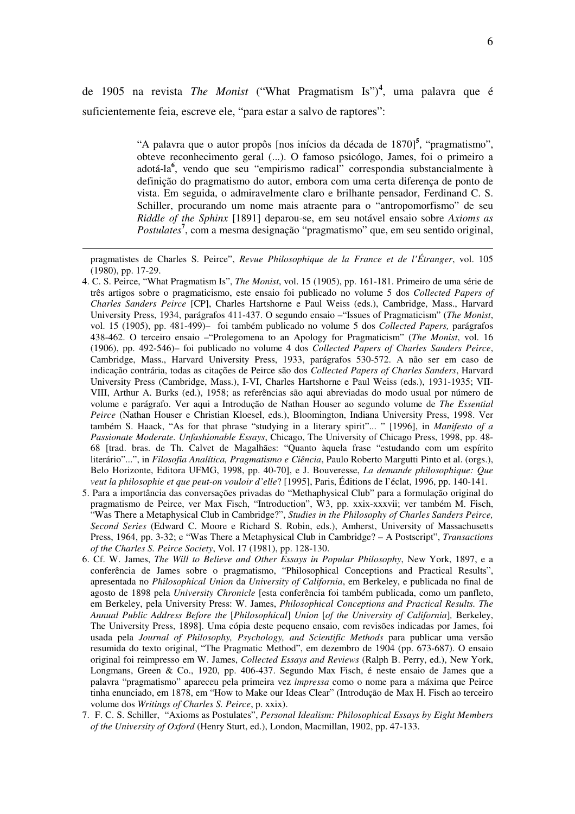de 1905 na revista *The Monist* ("What Pragmatism Is") **4** , uma palavra que é suficientemente feia, escreve ele, "para estar a salvo de raptores":

> "A palavra que o autor propôs [nos inícios da década de 1870] **5** , "pragmatismo", obteve reconhecimento geral (...). O famoso psicólogo, James, foi o primeiro a adotá-la **6** , vendo que seu "empirismo radical" correspondia substancialmente à definição do pragmatismo do autor, embora com uma certa diferença de ponto de vista. Em seguida, o admiravelmente claro e brilhante pensador, Ferdinand C. S. Schiller, procurando um nome mais atraente para o "antropomorfismo" de seu *Riddle of the Sphinx* [1891] deparou-se, em seu notável ensaio sobre *Axioms as*  Postulates<sup>7</sup>, com a mesma designação "pragmatismo" que, em seu sentido original,

- 5. Para a importância das conversações privadas do "Methaphysical Club" para a formulação original do pragmatismo de Peirce, ver Max Fisch, "Introduction", W3, pp. xxix-xxxvii; ver também M. Fisch, "Was There a Metaphysical Club in Cambridge?", *Studies in the Philosophy of Charles Sanders Peirce, Second Series* (Edward C. Moore e Richard S. Robin, eds.), Amherst, University of Massachusetts Press, 1964, pp. 3-32; e "Was There a Metaphysical Club in Cambridge? – A Postscript", *Transactions of the Charles S. Peirce Society*, Vol. 17 (1981), pp. 128-130.
- 6. Cf. W. James, *The Will to Believe and Other Essays in Popular Philosophy*, New York, 1897, e a conferência de James sobre o pragmatismo, "Philosophical Conceptions and Practical Results", apresentada no *Philosophical Union* da *University of California*, em Berkeley, e publicada no final de agosto de 1898 pela *University Chronicle* [esta conferência foi também publicada, como um panfleto, em Berkeley, pela University Press: W. James, *Philosophical Conceptions and Practical Results. The Annual Public Address Before the* [*Philosophical*] *Union* [*of the University of California*]*,* Berkeley, The University Press, 1898]. Uma cópia deste pequeno ensaio, com revisões indicadas por James, foi usada pela *Journal of Philosophy, Psychology, and Scientific Methods* para publicar uma versão resumida do texto original, "The Pragmatic Method", em dezembro de 1904 (pp. 673-687). O ensaio original foi reimpresso em W. James, *Collected Essays and Reviews* (Ralph B. Perry, ed.), New York, Longmans, Green & Co., 1920, pp. 406-437. Segundo Max Fisch, é neste ensaio de James que a palavra "pragmatismo" apareceu pela primeira vez *impressa* como o nome para a máxima que Peirce tinha enunciado, em 1878, em "How to Make our Ideas Clear" (Introdução de Max H. Fisch ao terceiro volume dos *Writings of Charles S. Peirce*, p. xxix).
- 7. F. C. S. Schiller, "Axioms as Postulates", *Personal Idealism: Philosophical Essays by Eight Members of the University of Oxford* (Henry Sturt, ed.), London, Macmillan, 1902, pp. 47-133.

pragmatistes de Charles S. Peirce", *Revue Philosophique de la France et de l'Étranger*, vol. 105 (1980), pp. 17-29.

<sup>4.</sup> C. S. Peirce, "What Pragmatism Is", *The Monist*, vol. 15 (1905), pp. 161-181. Primeiro de uma série de três artigos sobre o pragmaticismo, este ensaio foi publicado no volume 5 dos *Collected Papers of Charles Sanders Peirce* [CP], Charles Hartshorne e Paul Weiss (eds.), Cambridge, Mass., Harvard University Press, 1934, parágrafos 411-437. O segundo ensaio –"Issues of Pragmaticism" (*The Monist*, vol. 15 (1905), pp. 481-499)– foi também publicado no volume 5 dos *Collected Papers,* parágrafos 438-462. O terceiro ensaio –"Prolegomena to an Apology for Pragmaticism" (*The Monist*, vol. 16 (1906), pp. 492-546)– foi publicado no volume 4 dos *Collected Papers of Charles Sanders Peirce*, Cambridge, Mass., Harvard University Press, 1933, parágrafos 530-572. A não ser em caso de indicação contrária, todas as citações de Peirce são dos *Collected Papers of Charles Sanders*, Harvard University Press (Cambridge, Mass.), I-VI, Charles Hartshorne e Paul Weiss (eds.), 1931-1935; VII-VIII, Arthur A. Burks (ed.), 1958; as referências são aqui abreviadas do modo usual por número de volume e parágrafo. Ver aqui a Introdução de Nathan Houser ao segundo volume de *The Essential Peirce* (Nathan Houser e Christian Kloesel, eds.), Bloomington, Indiana University Press, 1998. Ver também S. Haack, "As for that phrase "studying in a literary spirit"... " [1996], in *Manifesto of a Passionate Moderate. Unfashionable Essays*, Chicago, The University of Chicago Press, 1998, pp. 48- 68 [trad. bras. de Th. Calvet de Magalhães: "Quanto àquela frase "estudando com um espírito literário"...", in *Filosofia Analítica, Pragmatismo e Ciência*, Paulo Roberto Margutti Pinto et al. (orgs.), Belo Horizonte, Editora UFMG, 1998, pp. 40-70], e J. Bouveresse, *La demande philosophique: Que veut la philosophie et que peut-on vouloir d'elle*? [1995], Paris, Éditions de l'éclat, 1996, pp. 140-141.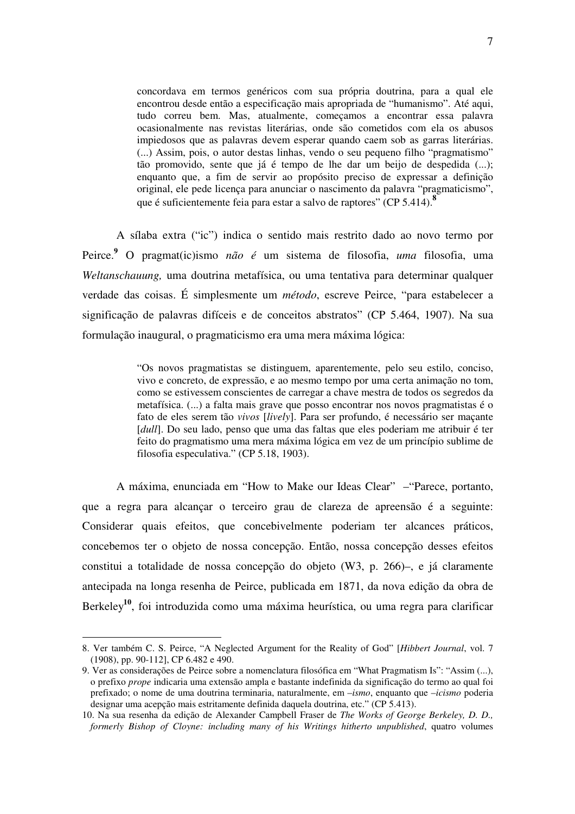concordava em termos genéricos com sua própria doutrina, para a qual ele encontrou desde então a especificação mais apropriada de "humanismo". Até aqui, tudo correu bem. Mas, atualmente, começamos a encontrar essa palavra ocasionalmente nas revistas literárias, onde são cometidos com ela os abusos impiedosos que as palavras devem esperar quando caem sob as garras literárias. (...) Assim, pois, o autor destas linhas, vendo o seu pequeno filho "pragmatismo" tão promovido, sente que já é tempo de lhe dar um beijo de despedida (...); enquanto que, a fim de servir ao propósito preciso de expressar a definição original, ele pede licença para anunciar o nascimento da palavra "pragmaticismo", que é suficientemente feia para estar a salvo de raptores" (CP 5.414). **8**

A sílaba extra ("ic") indica o sentido mais restrito dado ao novo termo por Peirce. **<sup>9</sup>** O pragmat(ic)ismo *não é* um sistema de filosofia, *uma* filosofia, uma *Weltanschauung,* uma doutrina metafísica, ou uma tentativa para determinar qualquer verdade das coisas. É simplesmente um *método*, escreve Peirce, "para estabelecer a significação de palavras difíceis e de conceitos abstratos" (CP 5.464, 1907). Na sua formulação inaugural, o pragmaticismo era uma mera máxima lógica:

> "Os novos pragmatistas se distinguem, aparentemente, pelo seu estilo, conciso, vivo e concreto, de expressão, e ao mesmo tempo por uma certa animação no tom, como se estivessem conscientes de carregar a chave mestra de todos os segredos da metafísica. (...) a falta mais grave que posso encontrar nos novos pragmatistas é o fato de eles serem tão *vivos* [*lively*]. Para ser profundo, é necessário ser maçante [*dull*]. Do seu lado, penso que uma das faltas que eles poderiam me atribuir é ter feito do pragmatismo uma mera máxima lógica em vez de um princípio sublime de filosofia especulativa." (CP 5.18, 1903).

A máxima, enunciada em "How to Make our Ideas Clear" –"Parece, portanto, que a regra para alcançar o terceiro grau de clareza de apreensão é a seguinte: Considerar quais efeitos, que concebivelmente poderiam ter alcances práticos, concebemos ter o objeto de nossa concepção. Então, nossa concepção desses efeitos constitui a totalidade de nossa concepção do objeto (W3, p. 266)–, e já claramente antecipada na longa resenha de Peirce, publicada em 1871, da nova edição da obra de Berkeley<sup>10</sup>, foi introduzida como uma máxima heurística, ou uma regra para clarificar

<sup>8.</sup> Ver também C. S. Peirce, "A Neglected Argument for the Reality of God" [*Hibbert Journal*, vol. 7 (1908), pp. 90-112], CP 6.482 e 490.

<sup>9.</sup> Ver as considerações de Peirce sobre a nomenclatura filosófica em "What Pragmatism Is": "Assim (...), o prefixo *prope* indicaria uma extensão ampla e bastante indefinida da significação do termo ao qual foi prefixado; o nome de uma doutrina terminaria, naturalmente, em –*ismo*, enquanto que –*icismo* poderia designar uma acepção mais estritamente definida daquela doutrina, etc." (CP 5.413).

<sup>10.</sup> Na sua resenha da edição de Alexander Campbell Fraser de *The Works of George Berkeley, D. D., formerly Bishop of Cloyne: including many of his Writings hitherto unpublished*, quatro volumes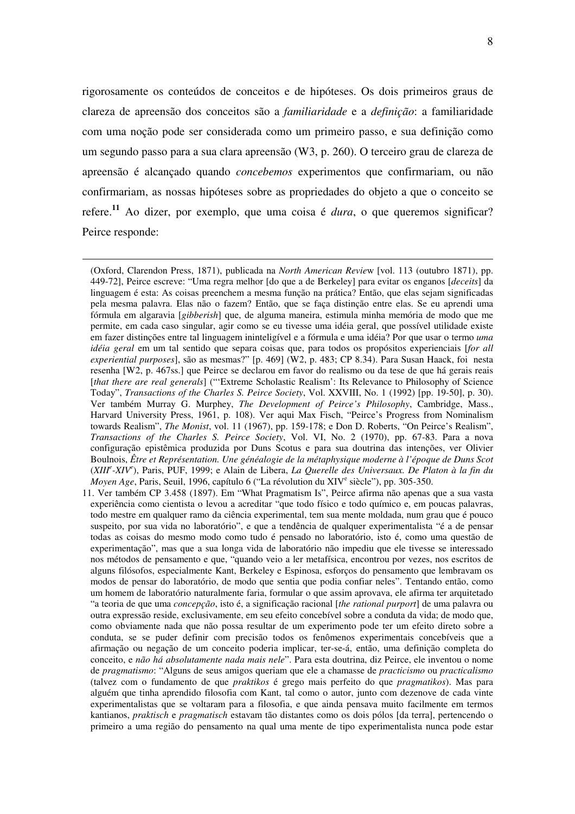rigorosamente os conteúdos de conceitos e de hipóteses. Os dois primeiros graus de clareza de apreensão dos conceitos são a *familiaridade* e a *definição*: a familiaridade com uma noção pode ser considerada como um primeiro passo, e sua definição como um segundo passo para a sua clara apreensão (W3, p. 260). O terceiro grau de clareza de apreensão é alcançado quando *concebemos* experimentos que confirmariam, ou não confirmariam, as nossas hipóteses sobre as propriedades do objeto a que o conceito se refere. **<sup>11</sup>** Ao dizer, por exemplo, que uma coisa é *dura*, o que queremos significar? Peirce responde:

<sup>(</sup>Oxford, Clarendon Press, 1871), publicada na *North American Revie*w [vol. 113 (outubro 1871), pp. 449-72], Peirce escreve: "Uma regra melhor [do que a de Berkeley] para evitar os enganos [*deceits*] da linguagem é esta: As coisas preenchem a mesma função na prática? Então, que elas sejam significadas pela mesma palavra. Elas não o fazem? Então, que se faça distinção entre elas. Se eu aprendi uma fórmula em algaravia [*gibberish*] que, de alguma maneira, estimula minha memória de modo que me permite, em cada caso singular, agir como se eu tivesse uma idéia geral, que possível utilidade existe em fazer distinções entre tal linguagem ininteligível e a fórmula e uma idéia? Por que usar o termo *uma idéia geral* em um tal sentido que separa coisas que, para todos os propósitos experienciais [*for all experiential purposes*], são as mesmas?" [p. 469] (W2, p. 483; CP 8.34). Para Susan Haack, foi nesta resenha [W2, p. 467ss.] que Peirce se declarou em favor do realismo ou da tese de que há gerais reais [*that there are real generals*] ("'Extreme Scholastic Realism': Its Relevance to Philosophy of Science Today", *Transactions of the Charles S. Peirce Society*, Vol. XXVIII, No. 1 (1992) [pp. 19-50], p. 30). Ver também Murray G. Murphey, *The Development of Peirce's Philosophy*, Cambridge, Mass., Harvard University Press, 1961, p. 108). Ver aqui Max Fisch, "Peirce's Progress from Nominalism towards Realism", *The Monist*, vol. 11 (1967), pp. 159-178; e Don D. Roberts, "On Peirce's Realism", *Transactions of the Charles S. Peirce Society*, Vol. VI, No. 2 (1970), pp. 67-83. Para a nova configuração epistêmica produzida por Duns Scotus e para sua doutrina das intenções, ver Olivier Boulnois, *Être et Représentation. Une généalogie de la métaphysique moderne à l'époque de Duns Scot*  (*XIII<sup>e</sup> -XIV e* ), Paris, PUF, 1999; e Alain de Libera, *La Querelle des Universaux. De Platon à la fin du* Moyen Age, Paris, Seuil, 1996, capítulo 6 ("La révolution du XIV<sup>e</sup> siècle"), pp. 305-350.

<sup>11.</sup> Ver também CP 3.458 (1897). Em "What Pragmatism Is", Peirce afirma não apenas que a sua vasta experiência como cientista o levou a acreditar "que todo físico e todo químico e, em poucas palavras, todo mestre em qualquer ramo da ciência experimental, tem sua mente moldada, num grau que é pouco suspeito, por sua vida no laboratório", e que a tendência de qualquer experimentalista "é a de pensar todas as coisas do mesmo modo como tudo é pensado no laboratório, isto é, como uma questão de experimentação", mas que a sua longa vida de laboratório não impediu que ele tivesse se interessado nos métodos de pensamento e que, "quando veio a ler metafísica, encontrou por vezes, nos escritos de alguns filósofos, especialmente Kant, Berkeley e Espinosa, esforços do pensamento que lembravam os modos de pensar do laboratório, de modo que sentia que podia confiar neles". Tentando então, como um homem de laboratório naturalmente faria, formular o que assim aprovava, ele afirma ter arquitetado "a teoria de que uma *concepção*, isto é, a significação racional [*the rational purport*] de uma palavra ou outra expressão reside, exclusivamente, em seu efeito concebível sobre a conduta da vida; de modo que, como obviamente nada que não possa resultar de um experimento pode ter um efeito direto sobre a conduta, se se puder definir com precisão todos os fenômenos experimentais concebíveis que a afirmação ou negação de um conceito poderia implicar, ter-se-á, então, uma definição completa do conceito, e *não há absolutamente nada mais nele*". Para esta doutrina, diz Peirce, ele inventou o nome de *pragmatismo*: "Alguns de seus amigos queriam que ele a chamasse de *practicismo* ou *practicalismo* (talvez com o fundamento de que *praktikos* é grego mais perfeito do que *pragmatikos*). Mas para alguém que tinha aprendido filosofia com Kant, tal como o autor, junto com dezenove de cada vinte experimentalistas que se voltaram para a filosofia, e que ainda pensava muito facilmente em termos kantianos, *praktisch* e *pragmatisch* estavam tão distantes como os dois pólos [da terra], pertencendo o primeiro a uma região do pensamento na qual uma mente de tipo experimentalista nunca pode estar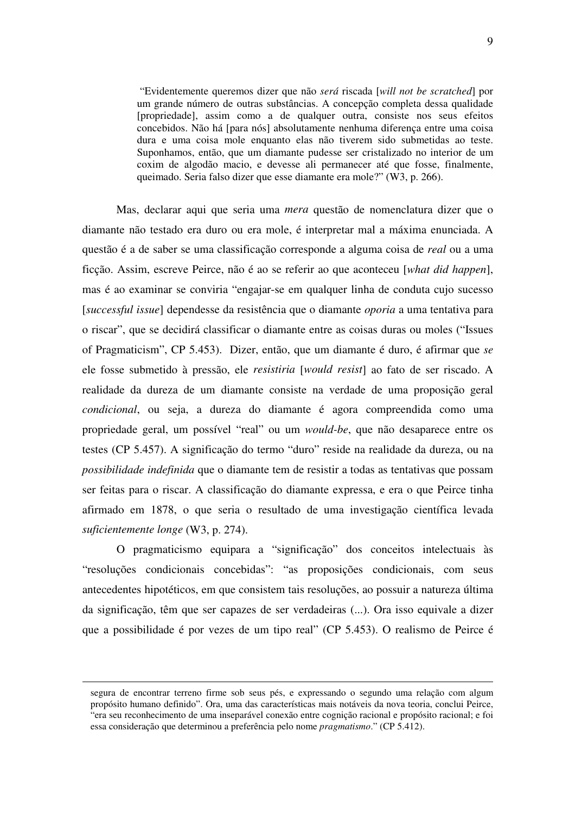"Evidentemente queremos dizer que não *será* riscada [*will not be scratched*] por um grande número de outras substâncias. A concepção completa dessa qualidade [propriedade], assim como a de qualquer outra, consiste nos seus efeitos concebidos. Não há [para nós] absolutamente nenhuma diferença entre uma coisa dura e uma coisa mole enquanto elas não tiverem sido submetidas ao teste. Suponhamos, então, que um diamante pudesse ser cristalizado no interior de um coxim de algodão macio, e devesse ali permanecer até que fosse, finalmente, queimado. Seria falso dizer que esse diamante era mole?" (W3, p. 266).

Mas, declarar aqui que seria uma *mera* questão de nomenclatura dizer que o diamante não testado era duro ou era mole, é interpretar mal a máxima enunciada. A questão é a de saber se uma classificação corresponde a alguma coisa de *real* ou a uma ficção. Assim, escreve Peirce, não é ao se referir ao que aconteceu [*what did happen*], mas é ao examinar se conviria "engajar-se em qualquer linha de conduta cujo sucesso [*successful issue*] dependesse da resistência que o diamante *oporia* a uma tentativa para o riscar", que se decidirá classificar o diamante entre as coisas duras ou moles ("Issues of Pragmaticism", CP 5.453). Dizer, então, que um diamante é duro, é afirmar que *se* ele fosse submetido à pressão, ele *resistiria* [*would resist*] ao fato de ser riscado. A realidade da dureza de um diamante consiste na verdade de uma proposição geral *condicional*, ou seja, a dureza do diamante é agora compreendida como uma propriedade geral, um possível "real" ou um *would-be*, que não desaparece entre os testes (CP 5.457). A significação do termo "duro" reside na realidade da dureza, ou na *possibilidade indefinida* que o diamante tem de resistir a todas as tentativas que possam ser feitas para o riscar. A classificação do diamante expressa, e era o que Peirce tinha afirmado em 1878, o que seria o resultado de uma investigação científica levada *suficientemente longe* (W3, p. 274).

O pragmaticismo equipara a "significação" dos conceitos intelectuais às "resoluções condicionais concebidas": "as proposições condicionais, com seus antecedentes hipotéticos, em que consistem tais resoluções, ao possuir a natureza última da significação, têm que ser capazes de ser verdadeiras (...). Ora isso equivale a dizer que a possibilidade é por vezes de um tipo real" (CP 5.453). O realismo de Peirce é

segura de encontrar terreno firme sob seus pés, e expressando o segundo uma relação com algum propósito humano definido". Ora, uma das características mais notáveis da nova teoria, conclui Peirce, "era seu reconhecimento de uma inseparável conexão entre cognição racional e propósito racional; e foi essa consideração que determinou a preferência pelo nome *pragmatismo*." (CP 5.412).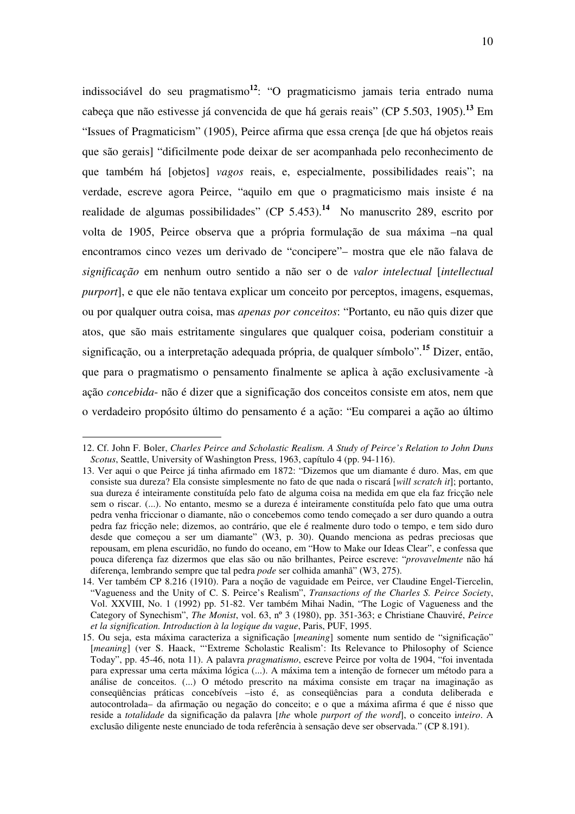indissociável do seu pragmatismo **12** : "O pragmaticismo jamais teria entrado numa cabeça que não estivesse já convencida de que há gerais reais" (CP 5.503, 1905). **<sup>13</sup>** Em "Issues of Pragmaticism" (1905), Peirce afirma que essa crença [de que há objetos reais que são gerais] "dificilmente pode deixar de ser acompanhada pelo reconhecimento de que também há [objetos] *vagos* reais, e, especialmente, possibilidades reais"; na verdade, escreve agora Peirce, "aquilo em que o pragmaticismo mais insiste é na realidade de algumas possibilidades" (CP 5.453). **14** No manuscrito 289, escrito por volta de 1905, Peirce observa que a própria formulação de sua máxima –na qual encontramos cinco vezes um derivado de "concipere"– mostra que ele não falava de *significação* em nenhum outro sentido a não ser o de *valor intelectual* [*intellectual purport*], e que ele não tentava explicar um conceito por perceptos, imagens, esquemas, ou por qualquer outra coisa, mas *apenas por conceitos*: "Portanto, eu não quis dizer que atos, que são mais estritamente singulares que qualquer coisa, poderiam constituir a significação, ou a interpretação adequada própria, de qualquer símbolo". **<sup>15</sup>** Dizer, então, que para o pragmatismo o pensamento finalmente se aplica à ação exclusivamente -à ação *concebida*- não é dizer que a significação dos conceitos consiste em atos, nem que o verdadeiro propósito último do pensamento é a ação: "Eu comparei a ação ao último

<sup>12.</sup> Cf. John F. Boler, *Charles Peirce and Scholastic Realism. A Study of Peirce's Relation to John Duns Scotus*, Seattle, University of Washington Press, 1963, capítulo 4 (pp. 94-116).

<sup>13.</sup> Ver aqui o que Peirce já tinha afirmado em 1872: "Dizemos que um diamante é duro. Mas, em que consiste sua dureza? Ela consiste simplesmente no fato de que nada o riscará [*will scratch it*]; portanto, sua dureza é inteiramente constituída pelo fato de alguma coisa na medida em que ela faz fricção nele sem o riscar. (...). No entanto, mesmo se a dureza é inteiramente constituída pelo fato que uma outra pedra venha friccionar o diamante, não o concebemos como tendo começado a ser duro quando a outra pedra faz fricção nele; dizemos, ao contrário, que ele é realmente duro todo o tempo, e tem sido duro desde que começou a ser um diamante" (W3, p. 30). Quando menciona as pedras preciosas que repousam, em plena escuridão, no fundo do oceano, em "How to Make our Ideas Clear", e confessa que pouca diferença faz dizermos que elas são ou não brilhantes, Peirce escreve: "*provavelmente* não há diferença, lembrando sempre que tal pedra *pode* ser colhida amanhã" (W3, 275).

<sup>14.</sup> Ver também CP 8.216 (1910). Para a noção de vaguidade em Peirce, ver Claudine Engel-Tiercelin, "Vagueness and the Unity of C. S. Peirce's Realism", *Transactions of the Charles S. Peirce Society*, Vol. XXVIII, No. 1 (1992) pp. 51-82. Ver também Mihai Nadin, "The Logic of Vagueness and the Category of Synechism", *The Monist*, vol. 63, nº 3 (1980), pp. 351-363; e Christiane Chauviré, *Peirce et la signification. Introduction à la logique du vague*, Paris, PUF, 1995.

<sup>15.</sup> Ou seja, esta máxima caracteriza a significação [*meaning*] somente num sentido de "significação" [*meaning*] (ver S. Haack, "Extreme Scholastic Realism': Its Relevance to Philosophy of Science Today", pp. 45-46, nota 11). A palavra *pragmatismo*, escreve Peirce por volta de 1904, "foi inventada para expressar uma certa máxima lógica (...). A máxima tem a intenção de fornecer um método para a análise de conceitos. (...) O método prescrito na máxima consiste em traçar na imaginação as conseqüências práticas concebíveis –isto é, as conseqüências para a conduta deliberada e autocontrolada– da afirmação ou negação do conceito; e o que a máxima afirma é que é nisso que reside a *totalidade* da significação da palavra [*the* whole *purport of the word*], o conceito i*nteiro*. A exclusão diligente neste enunciado de toda referência à sensação deve ser observada." (CP 8.191).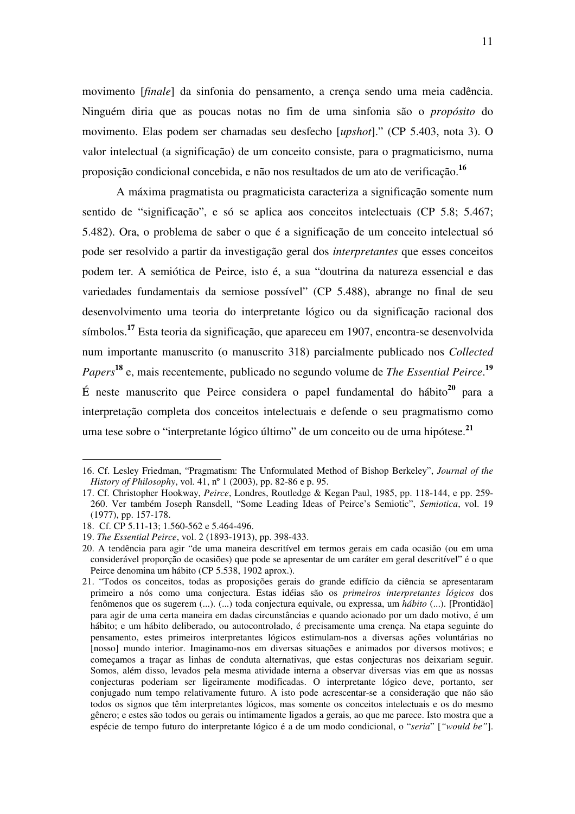movimento [*finale*] da sinfonia do pensamento, a crença sendo uma meia cadência. Ninguém diria que as poucas notas no fim de uma sinfonia são o *propósito* do movimento. Elas podem ser chamadas seu desfecho [*upshot*]." (CP 5.403, nota 3). O valor intelectual (a significação) de um conceito consiste, para o pragmaticismo, numa proposição condicional concebida, e não nos resultados de um ato de verificação. **16**

A máxima pragmatista ou pragmaticista caracteriza a significação somente num sentido de "significação", e só se aplica aos conceitos intelectuais (CP 5.8; 5.467; 5.482). Ora, o problema de saber o que é a significação de um conceito intelectual só pode ser resolvido a partir da investigação geral dos *interpretantes* que esses conceitos podem ter. A semiótica de Peirce, isto é, a sua "doutrina da natureza essencial e das variedades fundamentais da semiose possível" (CP 5.488), abrange no final de seu desenvolvimento uma teoria do interpretante lógico ou da significação racional dos símbolos. **<sup>17</sup>** Esta teoria da significação, que apareceu em 1907, encontra-se desenvolvida num importante manuscrito (o manuscrito 318) parcialmente publicado nos *Collected Papers* **18** e, mais recentemente, publicado no segundo volume de *The Essential Peirce*. **19** É neste manuscrito que Peirce considera o papel fundamental do hábito **20** para a interpretação completa dos conceitos intelectuais e defende o seu pragmatismo como uma tese sobre o "interpretante lógico último" de um conceito ou de uma hipótese. **21**

<sup>16.</sup> Cf. Lesley Friedman, "Pragmatism: The Unformulated Method of Bishop Berkeley", *Journal of the History of Philosophy*, vol. 41, nº 1 (2003), pp. 82-86 e p. 95.

<sup>17.</sup> Cf. Christopher Hookway, *Peirce*, Londres, Routledge & Kegan Paul, 1985, pp. 118-144, e pp. 259- 260. Ver também Joseph Ransdell, "Some Leading Ideas of Peirce's Semiotic", *Semiotica*, vol. 19 (1977), pp. 157-178.

<sup>18.</sup> Cf. CP 5.11-13; 1.560-562 e 5.464-496.

<sup>19.</sup> *The Essential Peirce*, vol. 2 (1893-1913), pp. 398-433.

<sup>20.</sup> A tendência para agir "de uma maneira descritível em termos gerais em cada ocasião (ou em uma considerável proporção de ocasiões) que pode se apresentar de um caráter em geral descritível" é o que Peirce denomina um hábito (CP 5.538, 1902 aprox.).

<sup>21. &</sup>quot;Todos os conceitos, todas as proposições gerais do grande edifício da ciência se apresentaram primeiro a nós como uma conjectura. Estas idéias são os *primeiros interpretantes lógicos* dos fenômenos que os sugerem (...). (...) toda conjectura equivale, ou expressa, um *hábito* (...). [Prontidão] para agir de uma certa maneira em dadas circunstâncias e quando acionado por um dado motivo, é um hábito; e um hábito deliberado, ou autocontrolado, é precisamente uma crença. Na etapa seguinte do pensamento, estes primeiros interpretantes lógicos estimulam-nos a diversas ações voluntárias no [nosso] mundo interior. Imaginamo-nos em diversas situações e animados por diversos motivos; e começamos a traçar as linhas de conduta alternativas, que estas conjecturas nos deixariam seguir. Somos, além disso, levados pela mesma atividade interna a observar diversas vias em que as nossas conjecturas poderiam ser ligeiramente modificadas. O interpretante lógico deve, portanto, ser conjugado num tempo relativamente futuro. A isto pode acrescentar-se a consideração que não são todos os signos que têm interpretantes lógicos, mas somente os conceitos intelectuais e os do mesmo gênero; e estes são todos ou gerais ou intimamente ligados a gerais, ao que me parece. Isto mostra que a espécie de tempo futuro do interpretante lógico é a de um modo condicional, o "*seria*" [*"would be"*].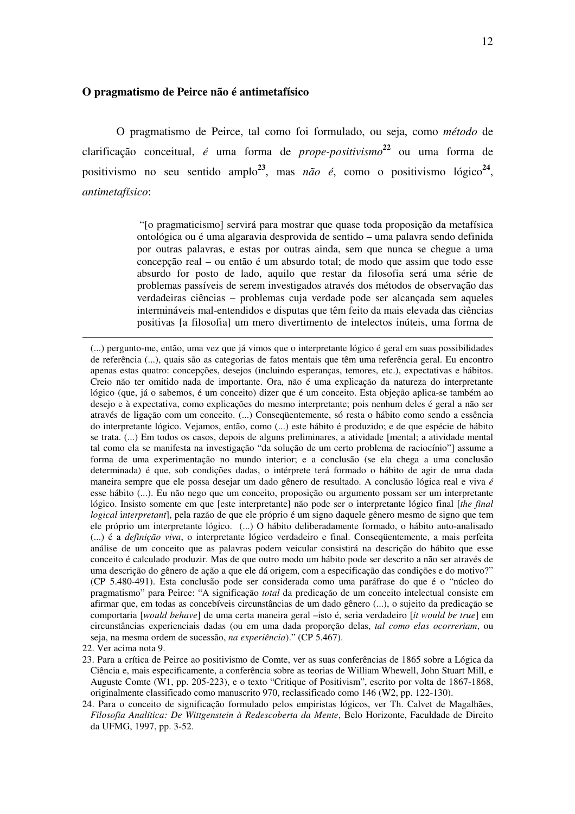### **O pragmatismo de Peirce não é antimetafísico**

O pragmatismo de Peirce, tal como foi formulado, ou seja, como *método* de clarificação conceitual, *é* uma forma de *prope-positivismo* **<sup>22</sup>** ou uma forma de positivismo no seu sentido amplo<sup>23</sup>, mas *não é*, como o positivismo lógico<sup>24</sup>, *antimetafísico*:

> "[o pragmaticismo] servirá para mostrar que quase toda proposição da metafísica ontológica ou é uma algaravia desprovida de sentido – uma palavra sendo definida por outras palavras, e estas por outras ainda, sem que nunca se chegue a uma concepção real – ou então é um absurdo total; de modo que assim que todo esse absurdo for posto de lado, aquilo que restar da filosofia será uma série de problemas passíveis de serem investigados através dos métodos de observação das verdadeiras ciências – problemas cuja verdade pode ser alcançada sem aqueles intermináveis mal-entendidos e disputas que têm feito da mais elevada das ciências positivas [a filosofia] um mero divertimento de intelectos inúteis, uma forma de

22. Ver acima nota 9.

<sup>(...)</sup> pergunto-me, então, uma vez que já vimos que o interpretante lógico é geral em suas possibilidades de referência (...), quais são as categorias de fatos mentais que têm uma referência geral. Eu encontro apenas estas quatro: concepções, desejos (incluindo esperanças, temores, etc.), expectativas e hábitos. Creio não ter omitido nada de importante. Ora, não é uma explicação da natureza do interpretante lógico (que, já o sabemos, é um conceito) dizer que é um conceito. Esta objeção aplica-se também ao desejo e à expectativa, como explicações do mesmo interpretante; pois nenhum deles é geral a não ser através de ligação com um conceito. (...) Conseqüentemente, só resta o hábito como sendo a essência do interpretante lógico. Vejamos, então, como (...) este hábito é produzido; e de que espécie de hábito se trata. (...) Em todos os casos, depois de alguns preliminares, a atividade [mental; a atividade mental tal como ela se manifesta na investigação "da solução de um certo problema de raciocínio"] assume a forma de uma experimentação no mundo interior; e a conclusão (se ela chega a uma conclusão determinada) é que, sob condições dadas, o intérprete terá formado o hábito de agir de uma dada maneira sempre que ele possa desejar um dado gênero de resultado. A conclusão lógica real e viva *é* esse hábito (...). Eu não nego que um conceito, proposição ou argumento possam ser um interpretante lógico. Insisto somente em que [este interpretante] não pode ser o interpretante lógico final [*the final logical interpretant*], pela razão de que ele próprio é um signo daquele gênero mesmo de signo que tem ele próprio um interpretante lógico. (...) O hábito deliberadamente formado, o hábito auto-analisado (...) é a *definição viva*, o interpretante lógico verdadeiro e final. Conseqüentemente, a mais perfeita análise de um conceito que as palavras podem veicular consistirá na descrição do hábito que esse conceito é calculado produzir. Mas de que outro modo um hábito pode ser descrito a não ser através de uma descrição do gênero de ação a que ele dá origem, com a especificação das condições e do motivo?" (CP 5.480-491). Esta conclusão pode ser considerada como uma paráfrase do que é o "núcleo do pragmatismo" para Peirce: "A significação *total* da predicação de um conceito intelectual consiste em afirmar que, em todas as concebíveis circunstâncias de um dado gênero (...), o sujeito da predicação se comportaria [*would behave*] de uma certa maneira geral –isto é, seria verdadeiro [*it would be true*] em circunstâncias experienciais dadas (ou em uma dada proporção delas, *tal como elas ocorreriam*, ou seja, na mesma ordem de sucessão, *na experiência*)." (CP 5.467).

<sup>23.</sup> Para a crítica de Peirce ao positivismo de Comte, ver as suas conferências de 1865 sobre a Lógica da Ciência e, mais especificamente, a conferência sobre as teorias de William Whewell, John Stuart Mill, e Auguste Comte (W1, pp. 205-223), e o texto "Critique of Positivism", escrito por volta de 1867-1868, originalmente classificado como manuscrito 970, reclassificado como 146 (W2, pp. 122-130).

<sup>24.</sup> Para o conceito de significação formulado pelos empiristas lógicos, ver Th. Calvet de Magalhães, *Filosofia Analítica: De Wittgenstein à Redescoberta da Mente*, Belo Horizonte, Faculdade de Direito da UFMG, 1997, pp. 3-52.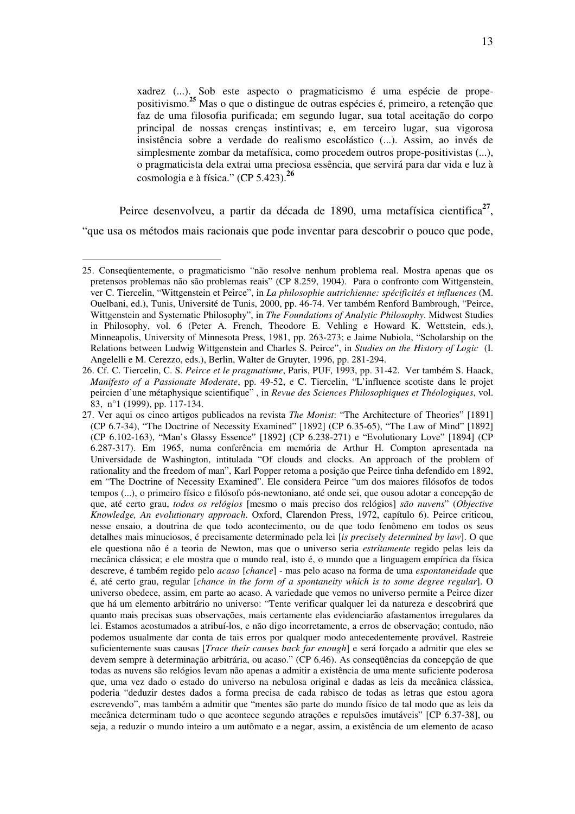xadrez (...). Sob este aspecto o pragmaticismo é uma espécie de propepositivismo. **<sup>25</sup>** Mas o que o distingue de outras espécies é, primeiro, a retenção que faz de uma filosofia purificada; em segundo lugar, sua total aceitação do corpo principal de nossas crenças instintivas; e, em terceiro lugar, sua vigorosa insistência sobre a verdade do realismo escolástico (...). Assim, ao invés de simplesmente zombar da metafísica, como procedem outros prope-positivistas (...), o pragmaticista dela extrai uma preciosa essência, que servirá para dar vida e luz à cosmologia e à física." (CP 5.423). **26**

Peirce desenvolveu, a partir da década de 1890, uma metafísica cientifica<sup>27</sup>, "que usa os métodos mais racionais que pode inventar para descobrir o pouco que pode,

<sup>25.</sup> Conseqüentemente, o pragmaticismo "não resolve nenhum problema real. Mostra apenas que os pretensos problemas não são problemas reais" (CP 8.259, 1904). Para o confronto com Wittgenstein, ver C. Tiercelin, "Wittgenstein et Peirce", in *La philosophie autrichienne: spécificités et influences* (M. Ouelbani, ed.), Tunis, Université de Tunis, 2000, pp. 46-74. Ver também Renford Bambrough, "Peirce, Wittgenstein and Systematic Philosophy", in *The Foundations of Analytic Philosophy*. Midwest Studies in Philosophy, vol. 6 (Peter A. French, Theodore E. Vehling e Howard K. Wettstein, eds.), Minneapolis, University of Minnesota Press, 1981, pp. 263-273; e Jaime Nubiola, "Scholarship on the Relations between Ludwig Wittgenstein and Charles S. Peirce", in *Studies on the History of Logic* (I. Angelelli e M. Cerezzo, eds.), Berlin, Walter de Gruyter, 1996, pp. 281-294.

<sup>26.</sup> Cf. C. Tiercelin, C. S. *Peirce et le pragmatisme*, Paris, PUF, 1993, pp. 31-42. Ver também S. Haack, *Manifesto of a Passionate Moderate*, pp. 49-52, e C. Tiercelin, "L'influence scotiste dans le projet peircien d'une métaphysique scientifique" , in *Revue des Sciences Philosophiques et Théologiques*, vol. 83, n°1 (1999), pp. 117-134.

<sup>27.</sup> Ver aqui os cinco artigos publicados na revista *The Monist*: "The Architecture of Theories" [1891] (CP 6.7-34), "The Doctrine of Necessity Examined" [1892] (CP 6.35-65), "The Law of Mind" [1892] (CP 6.102-163), "Man's Glassy Essence" [1892] (CP 6.238-271) e "Evolutionary Love" [1894] (CP 6.287-317). Em 1965, numa conferência em memória de Arthur H. Compton apresentada na Universidade de Washington, intitulada "Of clouds and clocks. An approach of the problem of rationality and the freedom of man", Karl Popper retoma a posição que Peirce tinha defendido em 1892, em "The Doctrine of Necessity Examined". Ele considera Peirce "um dos maiores filósofos de todos tempos (...), o primeiro físico e filósofo pós-newtoniano, até onde sei, que ousou adotar a concepção de que, até certo grau, *todos os relógios* [mesmo o mais preciso dos relógios] *são nuvens*" (*Objective Knowledge, An evolutionary approach*. Oxford, Clarendon Press, 1972, capítulo 6). Peirce criticou, nesse ensaio, a doutrina de que todo acontecimento, ou de que todo fenômeno em todos os seus detalhes mais minuciosos, é precisamente determinado pela lei [*is precisely determined by law*]. O que ele questiona não é a teoria de Newton, mas que o universo seria *estritamente* regido pelas leis da mecânica clássica; e ele mostra que o mundo real, isto é, o mundo que a linguagem empírica da física descreve, é também regido pelo *acaso* [*chance*] - mas pelo acaso na forma de uma *espontaneidade* que é, até certo grau, regular [*chance in the form of a spontaneity which is to some degree regular*]. O universo obedece, assim, em parte ao acaso. A variedade que vemos no universo permite a Peirce dizer que há um elemento arbitrário no universo: "Tente verificar qualquer lei da natureza e descobrirá que quanto mais precisas suas observações, mais certamente elas evidenciarão afastamentos irregulares da lei. Estamos acostumados a atribuí-los, e não digo incorretamente, a erros de observação; contudo, não podemos usualmente dar conta de tais erros por qualquer modo antecedentemente provável. Rastreie suficientemente suas causas [*Trace their causes back far enough*] e será forçado a admitir que eles se devem sempre à determinação arbitrária, ou acaso." (CP 6.46). As conseqüências da concepção de que todas as nuvens são relógios levam não apenas a admitir a existência de uma mente suficiente poderosa que, uma vez dado o estado do universo na nebulosa original e dadas as leis da mecânica clássica, poderia "deduzir destes dados a forma precisa de cada rabisco de todas as letras que estou agora escrevendo", mas também a admitir que "mentes são parte do mundo físico de tal modo que as leis da mecânica determinam tudo o que acontece segundo atrações e repulsões imutáveis" [CP 6.37-38], ou seja, a reduzir o mundo inteiro a um autômato e a negar, assim, a existência de um elemento de acaso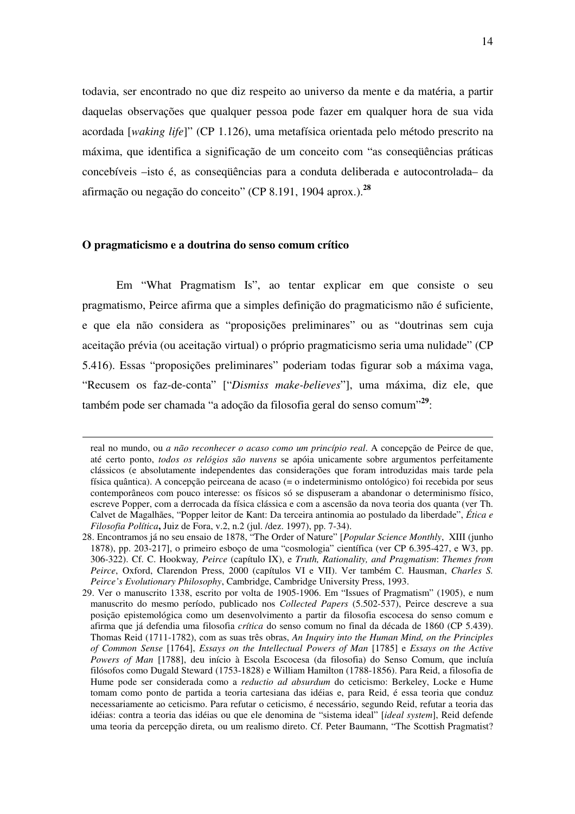todavia, ser encontrado no que diz respeito ao universo da mente e da matéria, a partir daquelas observações que qualquer pessoa pode fazer em qualquer hora de sua vida acordada [*waking life*]" (CP 1.126), uma metafísica orientada pelo método prescrito na máxima, que identifica a significação de um conceito com "as conseqüências práticas concebíveis –isto é, as conseqüências para a conduta deliberada e autocontrolada– da afirmação ou negação do conceito" (CP 8.191, 1904 aprox.). **28**

## **O pragmaticismo e a doutrina do senso comum crítico**

 $\overline{a}$ 

Em "What Pragmatism Is", ao tentar explicar em que consiste o seu pragmatismo, Peirce afirma que a simples definição do pragmaticismo não é suficiente, e que ela não considera as "proposições preliminares" ou as "doutrinas sem cuja aceitação prévia (ou aceitação virtual) o próprio pragmaticismo seria uma nulidade" (CP 5.416). Essas "proposições preliminares" poderiam todas figurar sob a máxima vaga, "Recusem os faz-de-conta" ["*Dismiss make-believes*"], uma máxima, diz ele, que também pode ser chamada "a adoção da filosofia geral do senso comum" **29** :

real no mundo, ou *a não reconhecer o acaso como um princípio real*. A concepção de Peirce de que, até certo ponto, *todos os relógios são nuvens* se apóia unicamente sobre argumentos perfeitamente clássicos (e absolutamente independentes das considerações que foram introduzidas mais tarde pela física quântica). A concepção peirceana de acaso (= o indeterminismo ontológico) foi recebida por seus contemporâneos com pouco interesse: os físicos só se dispuseram a abandonar o determinismo físico, escreve Popper, com a derrocada da física clássica e com a ascensão da nova teoria dos quanta (ver Th. Calvet de Magalhães, "Popper leitor de Kant: Da terceira antinomia ao postulado da liberdade", *Ética e Filosofia Política***,** Juiz de Fora, v.2, n.2 (jul. /dez. 1997), pp. 7-34).

<sup>28.</sup> Encontramos já no seu ensaio de 1878, "The Order of Nature" [*Popular Science Monthly*, XIII (junho 1878), pp. 203-217], o primeiro esboço de uma "cosmologia" científica (ver CP 6.395-427, e W3, pp. 306-322). Cf. C. Hookway*, Peirce* (capítulo IX), e *Truth, Rationality, and Pragmatism*: *Themes from Peirce*, Oxford, Clarendon Press, 2000 (capítulos VI e VII). Ver também C. Hausman, *Charles S. Peirce's Evolutionary Philosophy*, Cambridge, Cambridge University Press, 1993.

<sup>29.</sup> Ver o manuscrito 1338, escrito por volta de 1905-1906. Em "Issues of Pragmatism" (1905), e num manuscrito do mesmo período, publicado nos *Collected Papers* (5.502-537), Peirce descreve a sua posição epistemológica como um desenvolvimento a partir da filosofia escocesa do senso comum e afirma que já defendia uma filosofia *crítica* do senso comum no final da década de 1860 (CP 5.439). Thomas Reid (1711-1782), com as suas três obras, *An Inquiry into the Human Mind, on the Principles of Common Sense* [1764], *Essays on the Intellectual Powers of Man* [1785] e *Essays on the Active Powers of Man* [1788], deu início à Escola Escocesa (da filosofia) do Senso Comum, que incluía filósofos como Dugald Steward (1753-1828) e William Hamilton (1788-1856). Para Reid, a filosofia de Hume pode ser considerada como a *reductio ad absurdum* do ceticismo: Berkeley, Locke e Hume tomam como ponto de partida a teoria cartesiana das idéias e, para Reid, é essa teoria que conduz necessariamente ao ceticismo. Para refutar o ceticismo, é necessário, segundo Reid, refutar a teoria das idéias: contra a teoria das idéias ou que ele denomina de "sistema ideal" [*ideal system*], Reid defende uma teoria da percepção direta, ou um realismo direto. Cf. Peter Baumann, "The Scottish Pragmatist?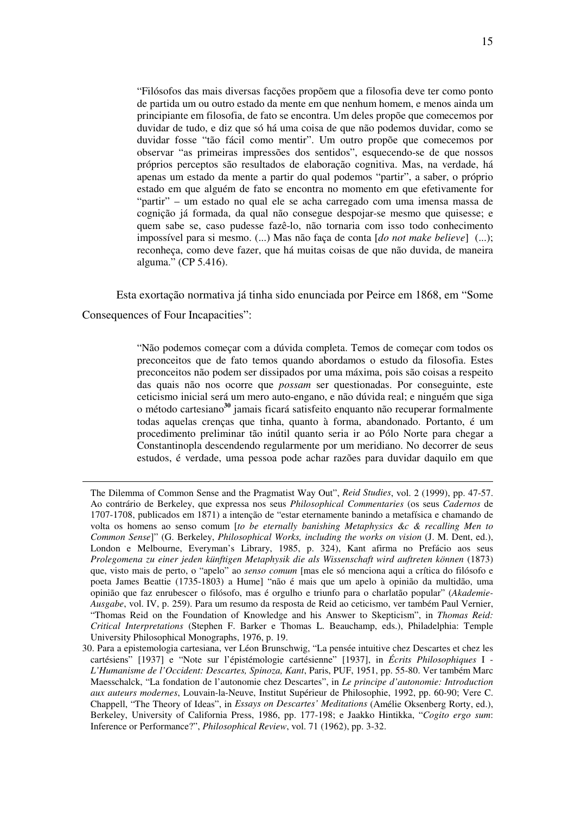"Filósofos das mais diversas facções propõem que a filosofia deve ter como ponto de partida um ou outro estado da mente em que nenhum homem, e menos ainda um principiante em filosofia, de fato se encontra. Um deles propõe que comecemos por duvidar de tudo, e diz que só há uma coisa de que não podemos duvidar, como se duvidar fosse "tão fácil como mentir". Um outro propõe que comecemos por observar "as primeiras impressões dos sentidos", esquecendo-se de que nossos próprios perceptos são resultados de elaboração cognitiva. Mas, na verdade, há apenas um estado da mente a partir do qual podemos "partir", a saber, o próprio estado em que alguém de fato se encontra no momento em que efetivamente for "partir" – um estado no qual ele se acha carregado com uma imensa massa de cognição já formada, da qual não consegue despojar-se mesmo que quisesse; e quem sabe se, caso pudesse fazê-lo, não tornaria com isso todo conhecimento impossível para si mesmo. (...) Mas não faça de conta [*do not make believe*] (...); reconheça, como deve fazer, que há muitas coisas de que não duvida, de maneira alguma." (CP 5.416).

Esta exortação normativa já tinha sido enunciada por Peirce em 1868, em "Some Consequences of Four Incapacities":

> "Não podemos começar com a dúvida completa. Temos de começar com todos os preconceitos que de fato temos quando abordamos o estudo da filosofia. Estes preconceitos não podem ser dissipados por uma máxima, pois são coisas a respeito das quais não nos ocorre que *possam* ser questionadas. Por conseguinte, este ceticismo inicial será um mero auto-engano, e não dúvida real; e ninguém que siga o método cartesiano **<sup>30</sup>** jamais ficará satisfeito enquanto não recuperar formalmente todas aquelas crenças que tinha, quanto à forma, abandonado. Portanto, é um procedimento preliminar tão inútil quanto seria ir ao Pólo Norte para chegar a Constantinopla descendendo regularmente por um meridiano. No decorrer de seus estudos, é verdade, uma pessoa pode achar razões para duvidar daquilo em que

The Dilemma of Common Sense and the Pragmatist Way Out", *Reid Studies*, vol. 2 (1999), pp. 47-57. Ao contrário de Berkeley, que expressa nos seus *Philosophical Commentaries* (os seus *Cadernos* de 1707-1708, publicados em 1871) a intenção de "estar eternamente banindo a metafísica e chamando de volta os homens ao senso comum [*to be eternally banishing Metaphysics &c & recalling Men to Common Sense*]" (G. Berkeley, *Philosophical Works, including the works on vision* (J. M. Dent, ed.), London e Melbourne, Everyman's Library, 1985, p. 324), Kant afirma no Prefácio aos seus *Prolegomena zu einer jeden künftigen Metaphysik die als Wissenschaft wird auftreten können* (1873) que, visto mais de perto, o "apelo" ao *senso comum* [mas ele só menciona aqui a crítica do filósofo e poeta James Beattie (1735-1803) a Hume] "não é mais que um apelo à opinião da multidão, uma opinião que faz enrubescer o filósofo, mas é orgulho e triunfo para o charlatão popular" (*Akademie-Ausgabe*, vol. IV, p. 259). Para um resumo da resposta de Reid ao ceticismo, ver também Paul Vernier, "Thomas Reid on the Foundation of Knowledge and his Answer to Skepticism", in *Thomas Reid: Critical Interpretations* (Stephen F. Barker e Thomas L. Beauchamp, eds.), Philadelphia: Temple University Philosophical Monographs, 1976, p. 19.

<sup>30.</sup> Para a epistemologia cartesiana, ver Léon Brunschwig, "La pensée intuitive chez Descartes et chez les cartésiens" [1937] e "Note sur l'épistémologie cartésienne" [1937], in *Écrits Philosophiques* I - *L'Humanisme de l'Occident: Descartes, Spinoza, Kant*, Paris, PUF, 1951, pp. 55-80. Ver também Marc Maesschalck, "La fondation de l'autonomie chez Descartes", in *Le principe d'autonomie: Introduction aux auteurs modernes*, Louvain-la-Neuve, Institut Supérieur de Philosophie, 1992, pp. 60-90; Vere C. Chappell, "The Theory of Ideas", in *Essays on Descartes' Meditations* (Amélie Oksenberg Rorty, ed.), Berkeley, University of California Press, 1986, pp. 177-198; e Jaakko Hintikka, "*Cogito ergo sum*: Inference or Performance?", *Philosophical Review*, vol. 71 (1962), pp. 3-32.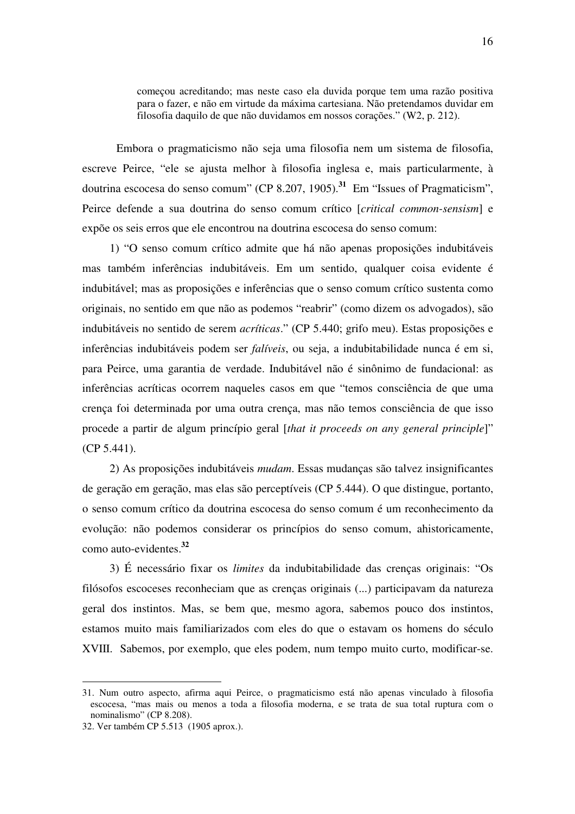começou acreditando; mas neste caso ela duvida porque tem uma razão positiva para o fazer, e não em virtude da máxima cartesiana. Não pretendamos duvidar em filosofia daquilo de que não duvidamos em nossos corações." (W2, p. 212).

Embora o pragmaticismo não seja uma filosofia nem um sistema de filosofia, escreve Peirce, "ele se ajusta melhor à filosofia inglesa e, mais particularmente, à doutrina escocesa do senso comum" (CP 8.207, 1905). **31** Em "Issues of Pragmaticism", Peirce defende a sua doutrina do senso comum crítico [*critical common-sensism*] e expõe os seis erros que ele encontrou na doutrina escocesa do senso comum:

1) "O senso comum crítico admite que há não apenas proposições indubitáveis mas também inferências indubitáveis. Em um sentido, qualquer coisa evidente é indubitável; mas as proposições e inferências que o senso comum crítico sustenta como originais, no sentido em que não as podemos "reabrir" (como dizem os advogados), são indubitáveis no sentido de serem *acríticas*." (CP 5.440; grifo meu). Estas proposições e inferências indubitáveis podem ser *falíveis*, ou seja, a indubitabilidade nunca é em si, para Peirce, uma garantia de verdade. Indubitável não é sinônimo de fundacional: as inferências acríticas ocorrem naqueles casos em que "temos consciência de que uma crença foi determinada por uma outra crença, mas não temos consciência de que isso procede a partir de algum princípio geral [*that it proceeds on any general principle*]" (CP 5.441).

2) As proposições indubitáveis *mudam*. Essas mudanças são talvez insignificantes de geração em geração, mas elas são perceptíveis (CP 5.444). O que distingue, portanto, o senso comum crítico da doutrina escocesa do senso comum é um reconhecimento da evolução: não podemos considerar os princípios do senso comum, ahistoricamente, como auto-evidentes. **32**

3) É necessário fixar os *limites* da indubitabilidade das crenças originais: "Os filósofos escoceses reconheciam que as crenças originais (...) participavam da natureza geral dos instintos. Mas, se bem que, mesmo agora, sabemos pouco dos instintos, estamos muito mais familiarizados com eles do que o estavam os homens do século XVIII. Sabemos, por exemplo, que eles podem, num tempo muito curto, modificar-se.

<sup>31.</sup> Num outro aspecto, afirma aqui Peirce, o pragmaticismo está não apenas vinculado à filosofia escocesa, "mas mais ou menos a toda a filosofia moderna, e se trata de sua total ruptura com o nominalismo" (CP 8.208).

<sup>32.</sup> Ver também CP 5.513 (1905 aprox.).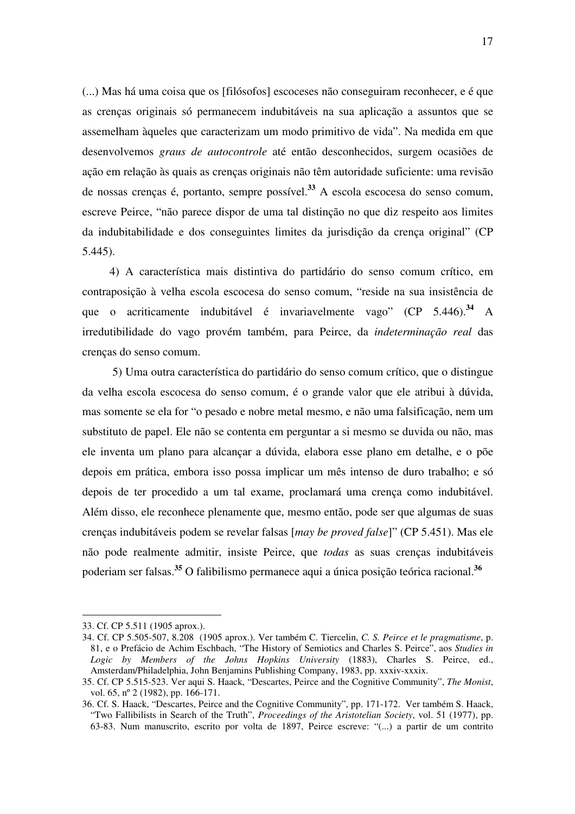(...) Mas há uma coisa que os [filósofos] escoceses não conseguiram reconhecer, e é que as crenças originais só permanecem indubitáveis na sua aplicação a assuntos que se assemelham àqueles que caracterizam um modo primitivo de vida". Na medida em que desenvolvemos *graus de autocontrole* até então desconhecidos, surgem ocasiões de ação em relação às quais as crenças originais não têm autoridade suficiente: uma revisão de nossas crenças é, portanto, sempre possível. **<sup>33</sup>** A escola escocesa do senso comum, escreve Peirce, "não parece dispor de uma tal distinção no que diz respeito aos limites da indubitabilidade e dos conseguintes limites da jurisdição da crença original" (CP 5.445).

4) A característica mais distintiva do partidário do senso comum crítico, em contraposição à velha escola escocesa do senso comum, "reside na sua insistência de que o acriticamente indubitável é invariavelmente vago" (CP 5.446). **<sup>34</sup>** A irredutibilidade do vago provém também, para Peirce, da *indeterminação real* das crenças do senso comum.

 5) Uma outra característica do partidário do senso comum crítico, que o distingue da velha escola escocesa do senso comum, é o grande valor que ele atribui à dúvida, mas somente se ela for "o pesado e nobre metal mesmo, e não uma falsificação, nem um substituto de papel. Ele não se contenta em perguntar a si mesmo se duvida ou não, mas ele inventa um plano para alcançar a dúvida, elabora esse plano em detalhe, e o põe depois em prática, embora isso possa implicar um mês intenso de duro trabalho; e só depois de ter procedido a um tal exame, proclamará uma crença como indubitável. Além disso, ele reconhece plenamente que, mesmo então, pode ser que algumas de suas crenças indubitáveis podem se revelar falsas [*may be proved false*]" (CP 5.451). Mas ele não pode realmente admitir, insiste Peirce, que *todas* as suas crenças indubitáveis poderiam ser falsas. **<sup>35</sup>** O falibilismo permanece aqui a única posição teórica racional. **36**

<sup>33.</sup> Cf. CP 5.511 (1905 aprox.).

<sup>34.</sup> Cf. CP 5.505-507, 8.208 (1905 aprox.). Ver também C. Tiercelin, *C. S. Peirce et le pragmatisme*, p. 81, e o Prefácio de Achim Eschbach, "The History of Semiotics and Charles S. Peirce", aos *Studies in Logic by Members of the Johns Hopkins University* (1883), Charles S. Peirce, ed., Amsterdam/Philadelphia, John Benjamins Publishing Company, 1983, pp. xxxiv-xxxix.

<sup>35.</sup> Cf. CP 5.515-523. Ver aqui S. Haack, "Descartes, Peirce and the Cognitive Community", *The Monist*, vol. 65, nº 2 (1982), pp. 166-171.

<sup>36.</sup> Cf. S. Haack, "Descartes, Peirce and the Cognitive Community", pp. 171-172. Ver também S. Haack, "Two Fallibilists in Search of the Truth", *Proceedings of the Aristotelian Society*, vol. 51 (1977), pp. 63-83. Num manuscrito, escrito por volta de 1897, Peirce escreve: "(...) a partir de um contrito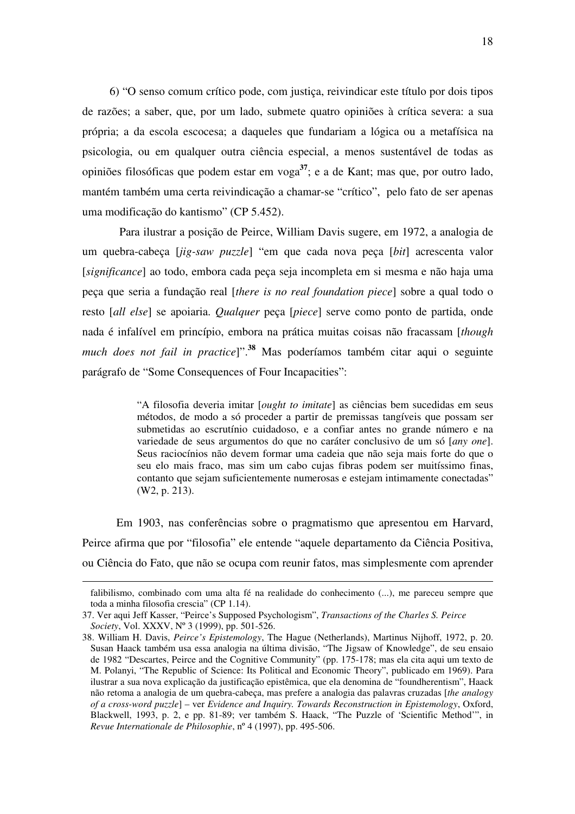6) "O senso comum crítico pode, com justiça, reivindicar este título por dois tipos de razões; a saber, que, por um lado, submete quatro opiniões à crítica severa: a sua própria; a da escola escocesa; a daqueles que fundariam a lógica ou a metafísica na psicologia, ou em qualquer outra ciência especial, a menos sustentável de todas as opiniões filosóficas que podem estar em voga **37** ; e a de Kant; mas que, por outro lado, mantém também uma certa reivindicação a chamar-se "crítico", pelo fato de ser apenas uma modificação do kantismo" (CP 5.452).

Para ilustrar a posição de Peirce, William Davis sugere, em 1972, a analogia de um quebra-cabeça [*jig-saw puzzle*] "em que cada nova peça [*bit*] acrescenta valor [*significance*] ao todo, embora cada peça seja incompleta em si mesma e não haja uma peça que seria a fundação real [*there is no real foundation piece*] sobre a qual todo o resto [*all else*] se apoiaria. *Qualquer* peça [*piece*] serve como ponto de partida, onde nada é infalível em princípio, embora na prática muitas coisas não fracassam [*though much does not fail in practice*]". **<sup>38</sup>** Mas poderíamos também citar aqui o seguinte parágrafo de "Some Consequences of Four Incapacities":

> "A filosofia deveria imitar [*ought to imitate*] as ciências bem sucedidas em seus métodos, de modo a só proceder a partir de premissas tangíveis que possam ser submetidas ao escrutínio cuidadoso, e a confiar antes no grande número e na variedade de seus argumentos do que no caráter conclusivo de um só [*any one*]. Seus raciocínios não devem formar uma cadeia que não seja mais forte do que o seu elo mais fraco, mas sim um cabo cujas fibras podem ser muitíssimo finas, contanto que sejam suficientemente numerosas e estejam intimamente conectadas" (W2, p. 213).

Em 1903, nas conferências sobre o pragmatismo que apresentou em Harvard, Peirce afirma que por "filosofia" ele entende "aquele departamento da Ciência Positiva, ou Ciência do Fato, que não se ocupa com reunir fatos, mas simplesmente com aprender

falibilismo, combinado com uma alta fé na realidade do conhecimento (...), me pareceu sempre que toda a minha filosofia crescia" (CP 1.14).

<sup>37.</sup> Ver aqui Jeff Kasser, "Peirce's Supposed Psychologism", *Transactions of the Charles S. Peirce Society*, Vol. XXXV, Nº 3 (1999), pp. 501-526.

<sup>38.</sup> William H. Davis, *Peirce's Epistemology*, The Hague (Netherlands), Martinus Nijhoff, 1972, p. 20. Susan Haack também usa essa analogia na última divisão, "The Jigsaw of Knowledge", de seu ensaio de 1982 "Descartes, Peirce and the Cognitive Community" (pp. 175-178; mas ela cita aqui um texto de M. Polanyi, "The Republic of Science: Its Political and Economic Theory", publicado em 1969). Para ilustrar a sua nova explicação da justificação epistêmica, que ela denomina de "foundherentism", Haack não retoma a analogia de um quebra-cabeça, mas prefere a analogia das palavras cruzadas [*the analogy of a cross-word puzzle*] – ver *Evidence and Inquiry. Towards Reconstruction in Epistemology*, Oxford, Blackwell, 1993, p. 2, e pp. 81-89; ver também S. Haack, "The Puzzle of 'Scientific Method'", in *Revue Internationale de Philosophie*, nº 4 (1997), pp. 495-506.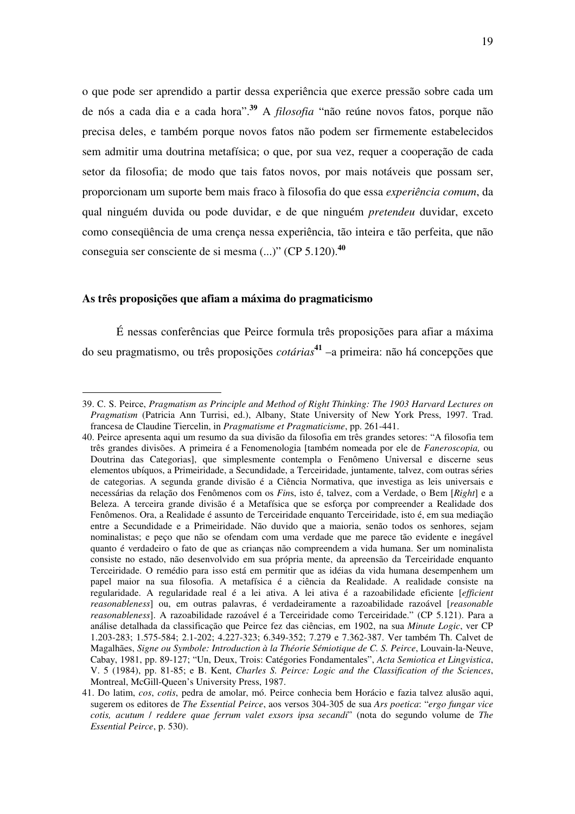o que pode ser aprendido a partir dessa experiência que exerce pressão sobre cada um de nós a cada dia e a cada hora". **<sup>39</sup>** A *filosofia* "não reúne novos fatos, porque não precisa deles, e também porque novos fatos não podem ser firmemente estabelecidos sem admitir uma doutrina metafísica; o que, por sua vez, requer a cooperação de cada setor da filosofia; de modo que tais fatos novos, por mais notáveis que possam ser, proporcionam um suporte bem mais fraco à filosofia do que essa *experiência comum*, da qual ninguém duvida ou pode duvidar, e de que ninguém *pretendeu* duvidar, exceto como conseqüência de uma crença nessa experiência, tão inteira e tão perfeita, que não conseguia ser consciente de si mesma (...)" (CP 5.120). **40**

## **As três proposições que afiam a máxima do pragmaticismo**

 $\overline{a}$ 

É nessas conferências que Peirce formula três proposições para afiar a máxima do seu pragmatismo, ou três proposições *cotárias* **41** –a primeira: não há concepções que

<sup>39.</sup> C. S. Peirce, *Pragmatism as Principle and Method of Right Thinking: The 1903 Harvard Lectures on Pragmatism* (Patricia Ann Turrisi, ed.), Albany, State University of New York Press, 1997. Trad. francesa de Claudine Tiercelin, in *Pragmatisme et Pragmaticisme*, pp. 261-441.

<sup>40.</sup> Peirce apresenta aqui um resumo da sua divisão da filosofia em três grandes setores: "A filosofia tem três grandes divisões. A primeira é a Fenomenologia [também nomeada por ele de *Faneroscopia,* ou Doutrina das Categorias], que simplesmente contempla o Fenômeno Universal e discerne seus elementos ubíquos, a Primeiridade, a Secundidade, a Terceiridade, juntamente, talvez, com outras séries de categorias. A segunda grande divisão é a Ciência Normativa, que investiga as leis universais e necessárias da relação dos Fenômenos com os *Fin*s, isto é, talvez, com a Verdade, o Bem [*Right*] e a Beleza. A terceira grande divisão é a Metafísica que se esforça por compreender a Realidade dos Fenômenos. Ora, a Realidade é assunto de Terceiridade enquanto Terceiridade, isto é, em sua mediação entre a Secundidade e a Primeiridade. Não duvido que a maioria, senão todos os senhores, sejam nominalistas; e peço que não se ofendam com uma verdade que me parece tão evidente e inegável quanto é verdadeiro o fato de que as crianças não compreendem a vida humana. Ser um nominalista consiste no estado, não desenvolvido em sua própria mente, da apreensão da Terceiridade enquanto Terceiridade. O remédio para isso está em permitir que as idéias da vida humana desempenhem um papel maior na sua filosofia. A metafísica é a ciência da Realidade. A realidade consiste na regularidade. A regularidade real é a lei ativa. A lei ativa é a razoabilidade eficiente [*efficient reasonableness*] ou, em outras palavras, é verdadeiramente a razoabilidade razoável [*reasonable reasonableness*]. A razoabilidade razoável é a Terceiridade como Terceiridade." (CP 5.121). Para a análise detalhada da classificação que Peirce fez das ciências, em 1902, na sua *Minute Logic*, ver CP 1.203-283; 1.575-584; 2.1-202; 4.227-323; 6.349-352; 7.279 e 7.362-387. Ver também Th. Calvet de Magalhães, *Signe ou Symbole: Introduction à la Théorie Sémiotique de C. S. Peirce*, Louvain-la-Neuve, Cabay, 1981, pp. 89-127; "Un, Deux, Trois: Catégories Fondamentales", *Acta Semiotica et Lingvistica*, V. 5 (1984), pp. 81-85; e B. Kent, *Charles S. Peirce: Logic and the Classification of the Sciences*, Montreal, McGill-Queen's University Press, 1987.

<sup>41.</sup> Do latim, *cos*, *cotis*, pedra de amolar, mó. Peirce conhecia bem Horácio e fazia talvez alusão aqui, sugerem os editores de *The Essential Peirce*, aos versos 304-305 de sua *Ars poetica*: "*ergo fungar vice cotis, acutum* / *reddere quae ferrum valet exsors ipsa secandi*" (nota do segundo volume de *The Essential Peirce*, p. 530).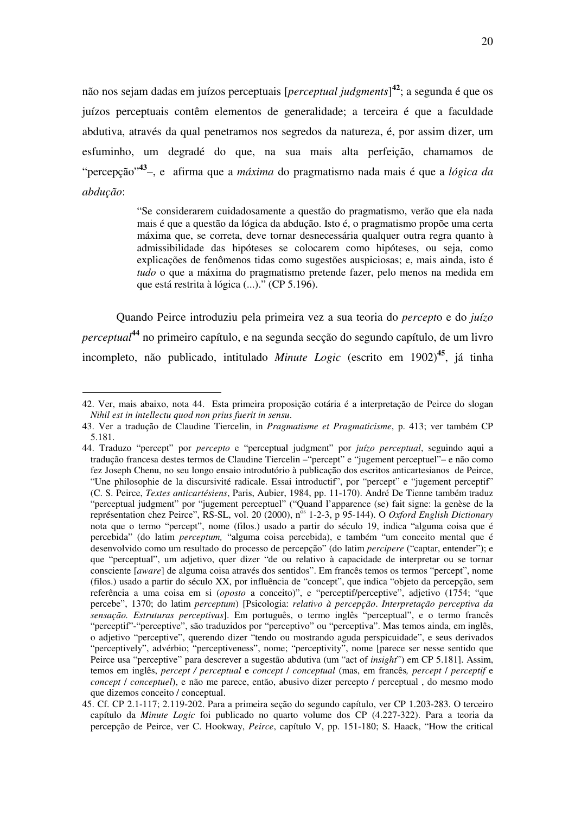não nos sejam dadas em juízos perceptuais [*perceptual judgments*] **42** ; a segunda é que os juízos perceptuais contêm elementos de generalidade; a terceira é que a faculdade abdutiva, através da qual penetramos nos segredos da natureza, é, por assim dizer, um esfuminho, um degradé do que, na sua mais alta perfeição, chamamos de "percepção" **43** –, e afirma que a *máxima* do pragmatismo nada mais é que a *lógica da abdução*:

> "Se considerarem cuidadosamente a questão do pragmatismo, verão que ela nada mais é que a questão da lógica da abdução. Isto é, o pragmatismo propõe uma certa máxima que, se correta, deve tornar desnecessária qualquer outra regra quanto à admissibilidade das hipóteses se colocarem como hipóteses, ou seja, como explicações de fenômenos tidas como sugestões auspiciosas; e, mais ainda, isto é *tudo* o que a máxima do pragmatismo pretende fazer, pelo menos na medida em que está restrita à lógica (...)." (CP 5.196).

Quando Peirce introduziu pela primeira vez a sua teoria do *percept*o e do *juízo perceptual* **44** no primeiro capítulo, e na segunda secção do segundo capítulo, de um livro incompleto, não publicado, intitulado *Minute Logic* (escrito em 1902) **45** , já tinha

<sup>42.</sup> Ver, mais abaixo, nota 44. Esta primeira proposição cotária é a interpretação de Peirce do slogan *Nihil est in intellectu quod non prius fuerit in sensu*.

<sup>43.</sup> Ver a tradução de Claudine Tiercelin, in *Pragmatisme et Pragmaticisme*, p. 413; ver também CP 5.181.

<sup>44.</sup> Traduzo "percept" por *percepto* e "perceptual judgment" por *juízo perceptual*, seguindo aqui a tradução francesa destes termos de Claudine Tiercelin –"percept" e "jugement perceptuel"– e não como fez Joseph Chenu, no seu longo ensaio introdutório à publicação dos escritos anticartesianos de Peirce, "Une philosophie de la discursivité radicale. Essai introductif", por "percept" e "jugement perceptif" (C. S. Peirce, *Textes anticartésiens*, Paris, Aubier, 1984, pp. 11-170). André De Tienne também traduz "perceptual judgment" por "jugement perceptuel" ("Quand l'apparence (se) fait signe: la genèse de la représentation chez Peirce", RS-SL, vol. 20 (2000), n<sup>os</sup> 1-2-3, p 95-144). O *Oxford English Dictionary* nota que o termo "percept", nome (filos.) usado a partir do século 19, indica "alguma coisa que é percebida" (do latim *perceptum,* "alguma coisa percebida), e também "um conceito mental que é desenvolvido como um resultado do processo de percepção" (do latim *percipere* ("captar, entender"); e que "perceptual", um adjetivo, quer dizer "de ou relativo à capacidade de interpretar ou se tornar consciente [*aware*] de alguma coisa através dos sentidos". Em francês temos os termos "percept", nome (filos.) usado a partir do século XX, por influência de "concept", que indica "objeto da percepção, sem referência a uma coisa em si (*oposto* a conceito)", e "perceptif/perceptive", adjetivo (1754; "que percebe", 1370; do latim *perceptum*) [Psicologia: *relativo à percepção*. *Interpretação perceptiva da sensação. Estruturas perceptivas*]. Em português, o termo inglês "perceptual", e o termo francês "perceptif"-"perceptive", são traduzidos por "perceptivo" ou "perceptiva". Mas temos ainda, em inglês, o adjetivo "perceptive", querendo dizer "tendo ou mostrando aguda perspicuidade", e seus derivados "perceptively", advérbio; "perceptiveness", nome; "perceptivity", nome [parece ser nesse sentido que Peirce usa "perceptive" para descrever a sugestão abdutiva (um "act of *insight*") em CP 5.181]. Assim, temos em inglês, *percept / perceptual* e *concept* / *conceptual* (mas, em francês*, percept* / *perceptif* e *concept* / *conceptuel*), e não me parece, então, abusivo dizer percepto / perceptual , do mesmo modo que dizemos conceito / conceptual.

<sup>45.</sup> Cf. CP 2.1-117; 2.119-202. Para a primeira seção do segundo capítulo, ver CP 1.203-283. O terceiro capítulo da *Minute Logic* foi publicado no quarto volume dos CP (4.227-322). Para a teoria da percepção de Peirce, ver C. Hookway, *Peirce*, capítulo V, pp. 151-180; S. Haack, "How the critical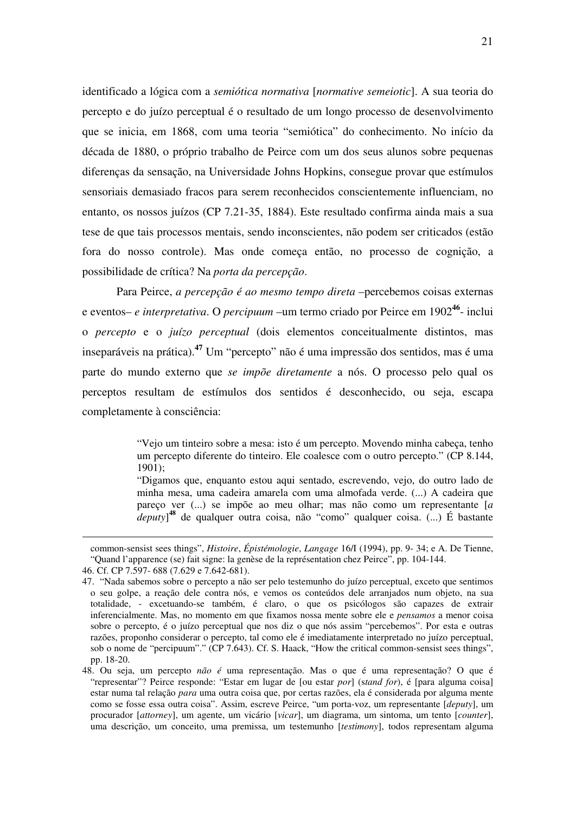identificado a lógica com a *semiótica normativa* [*normative semeiotic*]. A sua teoria do percepto e do juízo perceptual é o resultado de um longo processo de desenvolvimento que se inicia, em 1868, com uma teoria "semiótica" do conhecimento. No início da década de 1880, o próprio trabalho de Peirce com um dos seus alunos sobre pequenas diferenças da sensação, na Universidade Johns Hopkins, consegue provar que estímulos sensoriais demasiado fracos para serem reconhecidos conscientemente influenciam, no entanto, os nossos juízos (CP 7.21-35, 1884). Este resultado confirma ainda mais a sua tese de que tais processos mentais, sendo inconscientes, não podem ser criticados (estão fora do nosso controle). Mas onde começa então, no processo de cognição, a possibilidade de crítica? Na *porta da percepção*.

Para Peirce, *a percepção é ao mesmo tempo direta* –percebemos coisas externas e eventos– *e interpretativa*. O *percipuum* –um termo criado por Peirce em 1902**<sup>46</sup>** - inclui o *percepto* e o *juízo perceptual* (dois elementos conceitualmente distintos, mas inseparáveis na prática). **<sup>47</sup>** Um "percepto" não é uma impressão dos sentidos, mas é uma parte do mundo externo que *se impõe diretamente* a nós. O processo pelo qual os perceptos resultam de estímulos dos sentidos é desconhecido, ou seja, escapa completamente à consciência:

> "Vejo um tinteiro sobre a mesa: isto é um percepto. Movendo minha cabeça, tenho um percepto diferente do tinteiro. Ele coalesce com o outro percepto." (CP 8.144, 1901);

> "Digamos que, enquanto estou aqui sentado, escrevendo, vejo, do outro lado de minha mesa, uma cadeira amarela com uma almofada verde. (...) A cadeira que pareço ver (...) se impõe ao meu olhar; mas não como um representante [*a deputy*] **<sup>48</sup>** de qualquer outra coisa, não "como" qualquer coisa. (...) É bastante

common-sensist sees things", *Histoire*, *Épistémologie*, *Langage* 16/I (1994), pp. 9- 34; e A. De Tienne, "Quand l'apparence (se) fait signe: la genèse de la représentation chez Peirce", pp. 104-144.

<sup>46.</sup> Cf. CP 7.597- 688 (7.629 e 7.642-681).

<sup>47. &</sup>quot;Nada sabemos sobre o percepto a não ser pelo testemunho do juízo perceptual, exceto que sentimos o seu golpe, a reação dele contra nós, e vemos os conteúdos dele arranjados num objeto, na sua totalidade, - excetuando-se também, é claro, o que os psicólogos são capazes de extrair inferencialmente. Mas, no momento em que fixamos nossa mente sobre ele e *pensamos* a menor coisa sobre o percepto, é o juízo perceptual que nos diz o que nós assim "percebemos". Por esta e outras razões, proponho considerar o percepto, tal como ele é imediatamente interpretado no juízo perceptual, sob o nome de "percipuum"." (CP 7.643). Cf. S. Haack, "How the critical common-sensist sees things", pp. 18-20.

<sup>48.</sup> Ou seja, um percepto *não é* uma representação. Mas o que é uma representação? O que é "representar"? Peirce responde: "Estar em lugar de [ou estar *por*] (s*tand for*), é [para alguma coisa] estar numa tal relação *para* uma outra coisa que, por certas razões, ela é considerada por alguma mente como se fosse essa outra coisa". Assim, escreve Peirce, "um porta-voz, um representante [*deputy*], um procurador [*attorney*], um agente, um vicário [*vicar*], um diagrama, um sintoma, um tento [*counter*], uma descrição, um conceito, uma premissa, um testemunho [*testimony*], todos representam alguma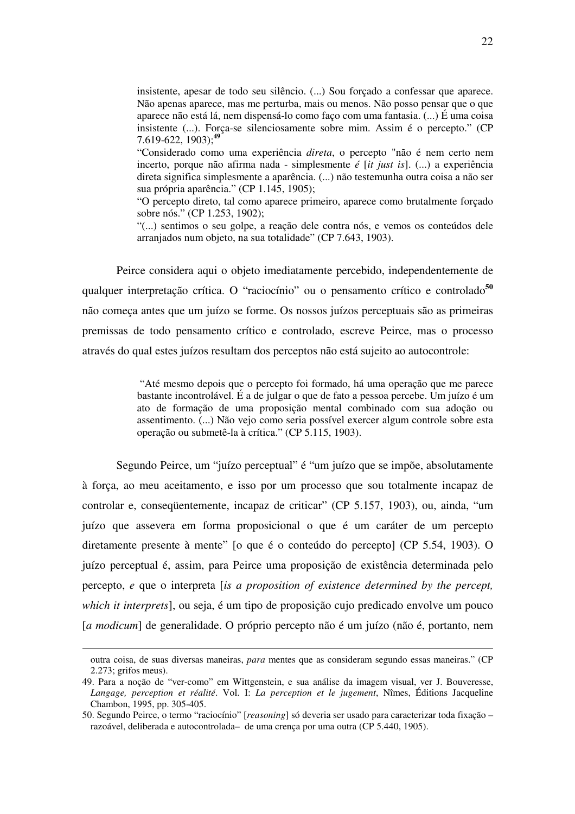insistente, apesar de todo seu silêncio. (...) Sou forçado a confessar que aparece. Não apenas aparece, mas me perturba, mais ou menos. Não posso pensar que o que aparece não está lá, nem dispensá-lo como faço com uma fantasia. (...) É uma coisa insistente (...). Força-se silenciosamente sobre mim. Assim é o percepto." (CP 7.619-622, 1903); **49**

"Considerado como uma experiência *direta*, o percepto "não é nem certo nem incerto, porque não afirma nada - simplesmente *é* [*it just is*]. (...) a experiência direta significa simplesmente a aparência. (...) não testemunha outra coisa a não ser sua própria aparência." (CP 1.145, 1905);

"O percepto direto, tal como aparece primeiro, aparece como brutalmente forçado sobre nós." (CP 1.253, 1902);

"(...) sentimos o seu golpe, a reação dele contra nós, e vemos os conteúdos dele arranjados num objeto, na sua totalidade" (CP 7.643, 1903).

Peirce considera aqui o objeto imediatamente percebido, independentemente de qualquer interpretação crítica. O "raciocínio" ou o pensamento crítico e controlado**<sup>50</sup>** não começa antes que um juízo se forme. Os nossos juízos perceptuais são as primeiras premissas de todo pensamento crítico e controlado, escreve Peirce, mas o processo através do qual estes juízos resultam dos perceptos não está sujeito ao autocontrole:

> "Até mesmo depois que o percepto foi formado, há uma operação que me parece bastante incontrolável. É a de julgar o que de fato a pessoa percebe. Um juízo é um ato de formação de uma proposição mental combinado com sua adoção ou assentimento. (...) Não vejo como seria possível exercer algum controle sobre esta operação ou submetê-la à crítica." (CP 5.115, 1903).

Segundo Peirce, um "juízo perceptual" é "um juízo que se impõe, absolutamente à força, ao meu aceitamento, e isso por um processo que sou totalmente incapaz de controlar e, conseqüentemente, incapaz de criticar" (CP 5.157, 1903), ou, ainda, "um juízo que assevera em forma proposicional o que é um caráter de um percepto diretamente presente à mente" [o que é o conteúdo do percepto] (CP 5.54, 1903). O juízo perceptual é, assim, para Peirce uma proposição de existência determinada pelo percepto, *e* que o interpreta [*is a proposition of existence determined by the percept, which it interprets*], ou seja, é um tipo de proposição cujo predicado envolve um pouco [*a modicum*] de generalidade. O próprio percepto não é um juízo (não é, portanto, nem

outra coisa, de suas diversas maneiras, *para* mentes que as consideram segundo essas maneiras." (CP 2.273; grifos meus).

<sup>49.</sup> Para a noção de "ver-como" em Wittgenstein, e sua análise da imagem visual, ver J. Bouveresse, *Langage, perception et réalité*. Vol. I: *La perception et le jugement*, Nîmes, Éditions Jacqueline Chambon, 1995, pp. 305-405.

<sup>50.</sup> Segundo Peirce, o termo "raciocínio" [*reasoning*] só deveria ser usado para caracterizar toda fixação – razoável, deliberada e autocontrolada– de uma crença por uma outra (CP 5.440, 1905).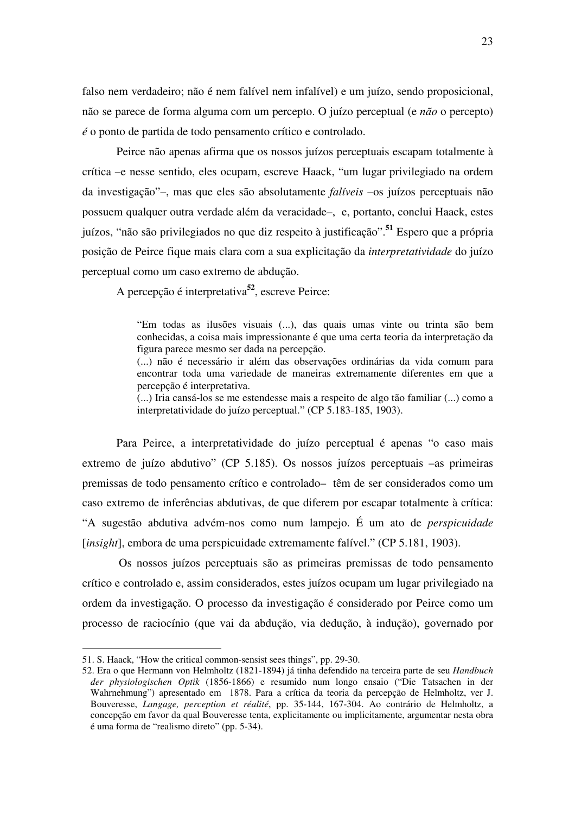falso nem verdadeiro; não é nem falível nem infalível) e um juízo, sendo proposicional, não se parece de forma alguma com um percepto. O juízo perceptual (e *não* o percepto) *é* o ponto de partida de todo pensamento crítico e controlado.

Peirce não apenas afirma que os nossos juízos perceptuais escapam totalmente à crítica –e nesse sentido, eles ocupam, escreve Haack, "um lugar privilegiado na ordem da investigação"–, mas que eles são absolutamente *falíveis* –os juízos perceptuais não possuem qualquer outra verdade além da veracidade–, e, portanto, conclui Haack, estes juízos, "não são privilegiados no que diz respeito à justificação". **<sup>51</sup>** Espero que a própria posição de Peirce fique mais clara com a sua explicitação da *interpretatividade* do juízo perceptual como um caso extremo de abdução.

A percepção é interpretativa **52** , escreve Peirce:

"Em todas as ilusões visuais (...), das quais umas vinte ou trinta são bem conhecidas, a coisa mais impressionante é que uma certa teoria da interpretação da figura parece mesmo ser dada na percepção.

(...) não é necessário ir além das observações ordinárias da vida comum para encontrar toda uma variedade de maneiras extremamente diferentes em que a percepção é interpretativa.

(...) Iria cansá-los se me estendesse mais a respeito de algo tão familiar (...) como a interpretatividade do juízo perceptual." (CP 5.183-185, 1903).

Para Peirce, a interpretatividade do juízo perceptual é apenas "o caso mais extremo de juízo abdutivo" (CP 5.185). Os nossos juízos perceptuais –as primeiras premissas de todo pensamento crítico e controlado– têm de ser considerados como um caso extremo de inferências abdutivas, de que diferem por escapar totalmente à crítica: "A sugestão abdutiva advém-nos como num lampejo. É um ato de *perspicuidade* [*insight*], embora de uma perspicuidade extremamente falível." (CP 5.181, 1903).

Os nossos juízos perceptuais são as primeiras premissas de todo pensamento crítico e controlado e, assim considerados, estes juízos ocupam um lugar privilegiado na ordem da investigação. O processo da investigação é considerado por Peirce como um processo de raciocínio (que vai da abdução, via dedução, à indução), governado por

<sup>51.</sup> S. Haack, "How the critical common-sensist sees things", pp. 29-30.

<sup>52.</sup> Era o que Hermann von Helmholtz (1821-1894) já tinha defendido na terceira parte de seu *Handbuch der physiologischen Optik* (1856-1866) e resumido num longo ensaio ("Die Tatsachen in der Wahrnehmung") apresentado em 1878. Para a crítica da teoria da percepção de Helmholtz, ver J. Bouveresse, *Langage, perception et réalité*, pp. 35-144, 167-304. Ao contrário de Helmholtz, a concepção em favor da qual Bouveresse tenta, explicitamente ou implicitamente, argumentar nesta obra é uma forma de "realismo direto" (pp. 5-34).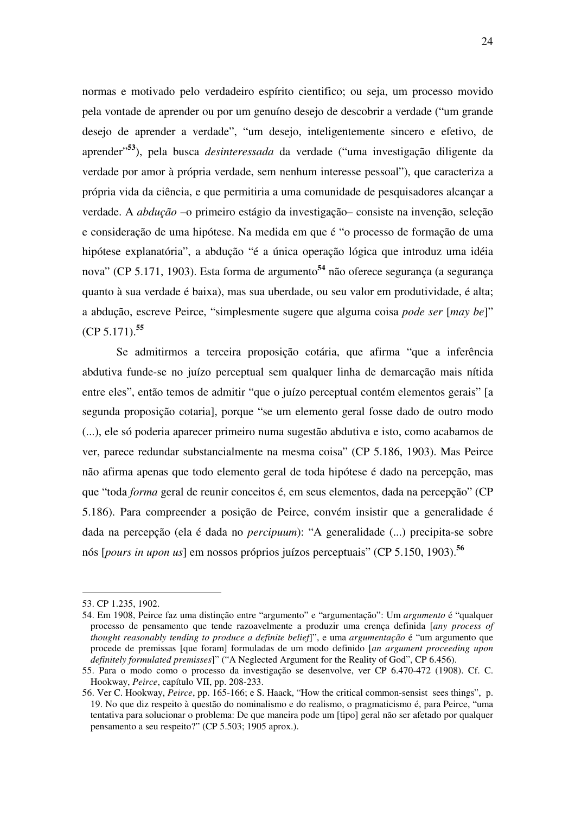normas e motivado pelo verdadeiro espírito cientifico; ou seja, um processo movido pela vontade de aprender ou por um genuíno desejo de descobrir a verdade ("um grande desejo de aprender a verdade", "um desejo, inteligentemente sincero e efetivo, de aprender" **<sup>53</sup>**), pela busca *desinteressada* da verdade ("uma investigação diligente da verdade por amor à própria verdade, sem nenhum interesse pessoal"), que caracteriza a própria vida da ciência, e que permitiria a uma comunidade de pesquisadores alcançar a verdade. A *abdução* –o primeiro estágio da investigação– consiste na invenção, seleção e consideração de uma hipótese. Na medida em que é "o processo de formação de uma hipótese explanatória", a abdução "é a única operação lógica que introduz uma idéia nova" (CP 5.171, 1903). Esta forma de argumento **54** não oferece segurança (a segurança quanto à sua verdade é baixa), mas sua uberdade, ou seu valor em produtividade, é alta; a abdução, escreve Peirce, "simplesmente sugere que alguma coisa *pode ser* [*may be*]" (CP 5.171). **55**

Se admitirmos a terceira proposição cotária, que afirma "que a inferência abdutiva funde-se no juízo perceptual sem qualquer linha de demarcação mais nítida entre eles", então temos de admitir "que o juízo perceptual contém elementos gerais" [a segunda proposição cotaria], porque "se um elemento geral fosse dado de outro modo (...), ele só poderia aparecer primeiro numa sugestão abdutiva e isto, como acabamos de ver, parece redundar substancialmente na mesma coisa" (CP 5.186, 1903). Mas Peirce não afirma apenas que todo elemento geral de toda hipótese é dado na percepção, mas que "toda *forma* geral de reunir conceitos é, em seus elementos, dada na percepção" (CP 5.186). Para compreender a posição de Peirce, convém insistir que a generalidade é dada na percepção (ela é dada no *percipuum*): "A generalidade (...) precipita-se sobre nós [*pours in upon us*] em nossos próprios juízos perceptuais" (CP 5.150, 1903). **56**

<sup>53.</sup> CP 1.235, 1902.

<sup>54.</sup> Em 1908, Peirce faz uma distinção entre "argumento" e "argumentação": Um *argumento* é "qualquer processo de pensamento que tende razoavelmente a produzir uma crença definida [*any process of thought reasonably tending to produce a definite belief*]", e uma *argumentação* é "um argumento que procede de premissas [que foram] formuladas de um modo definido [*an argument proceeding upon definitely formulated premisses*]" ("A Neglected Argument for the Reality of God", CP 6.456).

<sup>55.</sup> Para o modo como o processo da investigação se desenvolve, ver CP 6.470-472 (1908). Cf. C. Hookway, *Peirce*, capítulo VII, pp. 208-233.

<sup>56.</sup> Ver C. Hookway, *Peirce*, pp. 165-166; e S. Haack, "How the critical common-sensist sees things", p. 19. No que diz respeito à questão do nominalismo e do realismo, o pragmaticismo é, para Peirce, "uma tentativa para solucionar o problema: De que maneira pode um [tipo] geral não ser afetado por qualquer pensamento a seu respeito?" (CP 5.503; 1905 aprox.).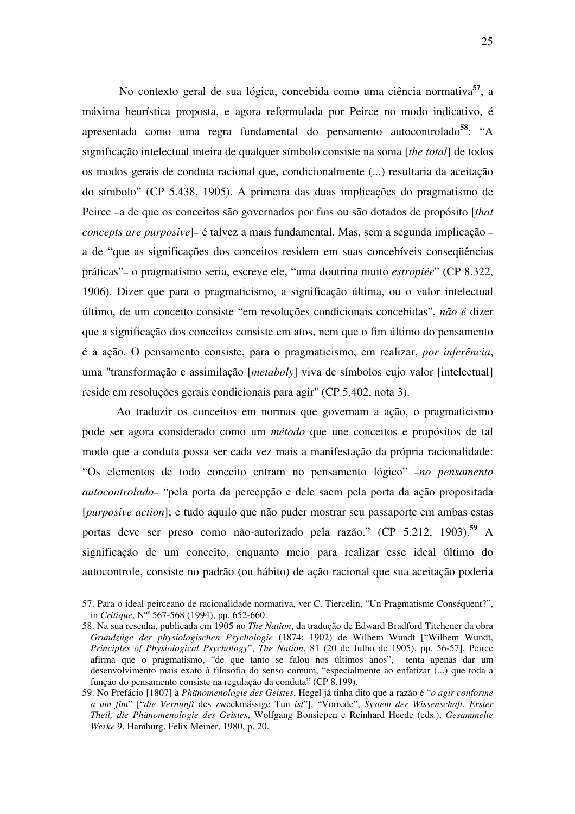No contexto geral de sua lógica, concebida como uma ciência normativa **57** , a máxima heurística proposta, e agora reformulada por Peirce no modo indicativo, é apresentada como uma regra fundamental do pensamento autocontrolado**<sup>58</sup>** : "A significação intelectual inteira de qualquer símbolo consiste na soma [*the total*] de todos os modos gerais de conduta racional que, condicionalmente (...) resultaria da aceitação do símbolo" (CP 5.438, 1905). A primeira das duas implicações do pragmatismo de Peirce –a de que os conceitos são governados por fins ou são dotados de propósito [*that concepts are purposive*]– é talvez a mais fundamental. Mas, sem a segunda implicação – a de "que as significações dos conceitos residem em suas concebíveis conseqüências práticas"– o pragmatismo seria, escreve ele, "uma doutrina muito *estropiée*" (CP 8.322, 1906). Dizer que para o pragmaticismo, a significação última, ou o valor intelectual último, de um conceito consiste "em resoluções condicionais concebidas", *não é* dizer que a significação dos conceitos consiste em atos, nem que o fim último do pensamento é a ação. O pensamento consiste, para o pragmaticismo, em realizar, *por inferência*, uma "transformação e assimilação [*metaboly*] viva de símbolos cujo valor [intelectual] reside em resoluções gerais condicionais para agir" (CP 5.402, nota 3).

Ao traduzir os conceitos em normas que governam a ação, o pragmaticismo pode ser agora considerado como um *método* que une conceitos e propósitos de tal modo que a conduta possa ser cada vez mais a manifestação da própria racionalidade: "Os elementos de todo conceito entram no pensamento lógico" –*no pensamento autocontrolado*– "pela porta da percepção e dele saem pela porta da ação propositada [*purposive action*]; e tudo aquilo que não puder mostrar seu passaporte em ambas estas portas deve ser preso como não-autorizado pela razão." (CP 5.212, 1903). **<sup>59</sup>** A significação de um conceito, enquanto meio para realizar esse ideal último do autocontrole, consiste no padrão (ou hábito) de ação racional que sua aceitação poderia

<sup>57.</sup> Para o ideal peirceano de racionalidade normativa, ver C. Tiercelin, "Un Pragmatisme Conséquent?", in *Critique*, Nº s 567-568 (1994), pp. 652-660.

<sup>58.</sup> Na sua resenha, publicada em 1905 no *The Nation*, da tradução de Edward Bradford Titchener da obra *Grundzüge der physiologischen Psychologie* (1874; 1902) de Wilhem Wundt ["Wilhem Wundt, *Principles of Physiological Psychology*", *The Nation*, 81 (20 de Julho de 1905), pp. 56-57], Peirce afirma que o pragmatismo, "de que tanto se falou nos últimos anos", tenta apenas dar um desenvolvimento mais exato à filosofia do senso comum, "especialmente ao enfatizar (...) que toda a função do pensamento consiste na regulação da conduta" (CP 8.199).

<sup>59.</sup> No Prefácio [1807] à *Phänomenologie des Geistes*, Hegel já tinha dito que a razão é "*o agir conforme a um fim*" ["*die Vernunft* des zweckmässige Tun *ist*"], "Vorrede", *System der Wissenschaft. Erster Theil, die Phänomenologie des Geistes*, Wolfgang Bonsiepen e Reinhard Heede (eds.), *Gesammelte Werke* 9, Hamburg, Felix Meiner, 1980, p. 20.